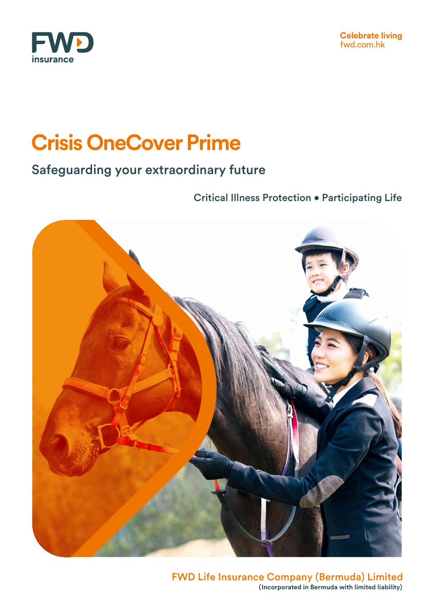

# **Crisis OneCover Prime**

### Safeguarding your extraordinary future

Critical Illness Protection • Participating Life



FWD Life Insurance Company (Bermuda) Limited **(Incorporated in Bermuda with limited liability)**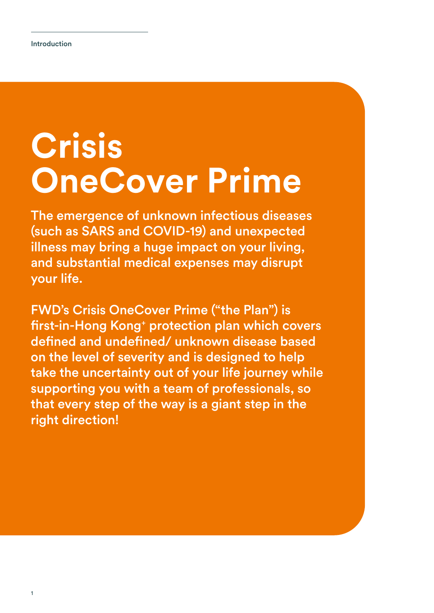# **Crisis OneCover Prime**

The emergence of unknown infectious diseases (such as SARS and COVID-19) and unexpected illness may bring a huge impact on your living, and substantial medical expenses may disrupt your life.

FWD's Crisis OneCover Prime ("the Plan") is first-in-Hong Kong<sup>+</sup> protection plan which covers defined and undefined/ unknown disease based on the level of severity and is designed to help take the uncertainty out of your life journey while supporting you with a team of professionals, so that every step of the way is a giant step in the right direction!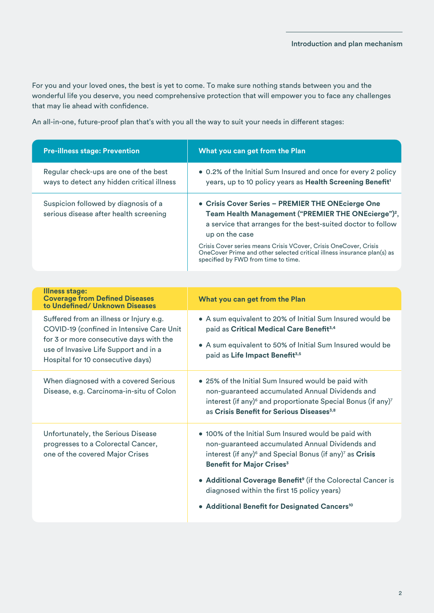For you and your loved ones, the best is yet to come. To make sure nothing stands between you and the wonderful life you deserve, you need comprehensive protection that will empower you to face any challenges that may lie ahead with confidence.

An all-in-one, future-proof plan that's with you all the way to suit your needs in different stages:

| What you can get from the Plan                                                                                                                                                                                                                                                                                                                                                                                                    |
|-----------------------------------------------------------------------------------------------------------------------------------------------------------------------------------------------------------------------------------------------------------------------------------------------------------------------------------------------------------------------------------------------------------------------------------|
| . 0.2% of the Initial Sum Insured and once for every 2 policy<br>years, up to 10 policy years as Health Screening Benefit <sup>1</sup>                                                                                                                                                                                                                                                                                            |
| • Crisis Cover Series - PREMIER THE ONEcierge One<br>Team Health Management ("PREMIER THE ONEcierge") <sup>2</sup> ,<br>a service that arranges for the best-suited doctor to follow<br>up on the case<br>Crisis Cover series means Crisis VCover, Crisis OneCover, Crisis<br>OneCover Prime and other selected critical illness insurance plan(s) as<br>specified by FWD from time to time.                                      |
|                                                                                                                                                                                                                                                                                                                                                                                                                                   |
| What you can get from the Plan                                                                                                                                                                                                                                                                                                                                                                                                    |
| • A sum equivalent to 20% of Initial Sum Insured would be<br>paid as Critical Medical Care Benefit <sup>3,4</sup><br>• A sum equivalent to 50% of Initial Sum Insured would be<br>paid as Life Impact Benefit <sup>3,5</sup>                                                                                                                                                                                                      |
| • 25% of the Initial Sum Insured would be paid with<br>non-guaranteed accumulated Annual Dividends and<br>interest (if any) <sup>6</sup> and proportionate Special Bonus (if any) <sup>7</sup><br>as Crisis Benefit for Serious Diseases <sup>3,8</sup>                                                                                                                                                                           |
| . 100% of the Initial Sum Insured would be paid with<br>non-guaranteed accumulated Annual Dividends and<br>interest (if any) <sup>6</sup> and Special Bonus (if any) <sup>7</sup> as Crisis<br><b>Benefit for Major Crises<sup>3</sup></b><br>• Additional Coverage Benefit <sup>9</sup> (if the Colorectal Cancer is<br>diagnosed within the first 15 policy years)<br>• Additional Benefit for Designated Cancers <sup>10</sup> |
|                                                                                                                                                                                                                                                                                                                                                                                                                                   |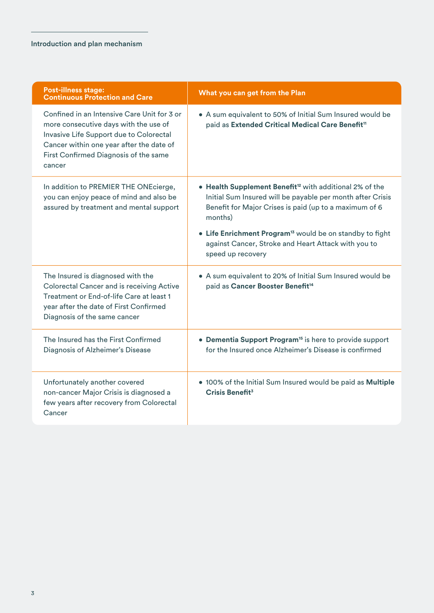| <b>Post-illness stage:</b><br><b>Continuous Protection and Care</b>                                                                                                                                                            | What you can get from the Plan                                                                                                                                                                                                                                                                                                                             |
|--------------------------------------------------------------------------------------------------------------------------------------------------------------------------------------------------------------------------------|------------------------------------------------------------------------------------------------------------------------------------------------------------------------------------------------------------------------------------------------------------------------------------------------------------------------------------------------------------|
| Confined in an Intensive Care Unit for 3 or<br>more consecutive days with the use of<br>Invasive Life Support due to Colorectal<br>Cancer within one year after the date of<br>First Confirmed Diagnosis of the same<br>cancer | • A sum equivalent to 50% of Initial Sum Insured would be<br>paid as Extended Critical Medical Care Benefit <sup>11</sup>                                                                                                                                                                                                                                  |
| In addition to PREMIER THE ONEcierge,<br>you can enjoy peace of mind and also be<br>assured by treatment and mental support                                                                                                    | • Health Supplement Benefit <sup>12</sup> with additional 2% of the<br>Initial Sum Insured will be payable per month after Crisis<br>Benefit for Major Crises is paid (up to a maximum of 6<br>months)<br>• Life Enrichment Program <sup>13</sup> would be on standby to fight<br>against Cancer, Stroke and Heart Attack with you to<br>speed up recovery |
| The Insured is diagnosed with the<br>Colorectal Cancer and is receiving Active<br>Treatment or End-of-life Care at least 1<br>year after the date of First Confirmed<br>Diagnosis of the same cancer                           | • A sum equivalent to 20% of Initial Sum Insured would be<br>paid as Cancer Booster Benefit <sup>14</sup>                                                                                                                                                                                                                                                  |
| The Insured has the First Confirmed<br>Diagnosis of Alzheimer's Disease                                                                                                                                                        | • Dementia Support Program <sup>15</sup> is here to provide support<br>for the Insured once Alzheimer's Disease is confirmed                                                                                                                                                                                                                               |
| Unfortunately another covered<br>non-cancer Major Crisis is diagnosed a<br>few years after recovery from Colorectal<br>Cancer                                                                                                  | . 100% of the Initial Sum Insured would be paid as Multiple<br>Crisis Benefit <sup>3</sup>                                                                                                                                                                                                                                                                 |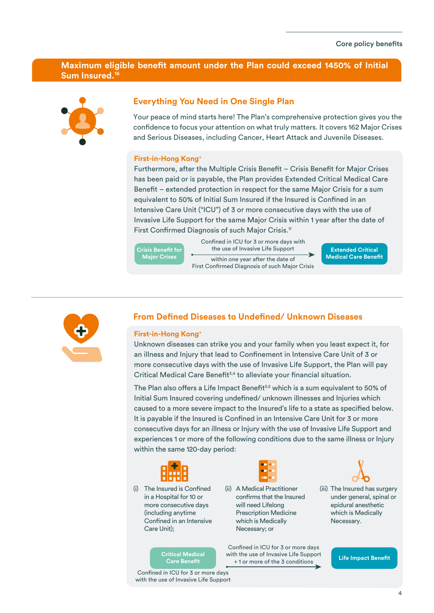### **Maximum eligible benefit amount under the Plan could exceed 1450% of Initial Sum Insured.16**



### **Everything You Need in One Single Plan**

Your peace of mind starts here! The Plan's comprehensive protection gives you the confidence to focus your attention on what truly matters. It covers 162 Major Crises and Serious Diseases, including Cancer, Heart Attack and Juvenile Diseases.

#### **First-in-Hong Kong+**

Furthermore, after the Multiple Crisis Benefit – Crisis Benefit for Major Crises has been paid or is payable, the Plan provides Extended Critical Medical Care Benefit – extended protection in respect for the same Major Crisis for a sum equivalent to 50% of Initial Sum Insured if the Insured is Confined in an Intensive Care Unit ("ICU") of 3 or more consecutive days with the use of Invasive Life Support for the same Major Crisis within 1 year after the date of First Confirmed Diagnosis of such Major Crisis.<sup>11</sup>

**Crisis Benefit for Major Crises**

Confined in ICU for 3 or more days with the use of Invasive Life Support within one year after the date of

First Confirmed Diagnosis of such Major Crisis

**Extended Critical Medical Care Benefit** 



### **From Defined Diseases to Undefined/ Unknown Diseases**

#### **First-in-Hong Kong+**

Unknown diseases can strike you and your family when you least expect it, for an illness and Injury that lead to Confinement in Intensive Care Unit of 3 or more consecutive days with the use of Invasive Life Support, the Plan will pay Critical Medical Care Benefit<sup>3,4</sup> to alleviate your financial situation.

The Plan also offers a Life Impact Benefit<sup>3,5</sup> which is a sum equivalent to 50% of Initial Sum Insured covering undefined/ unknown illnesses and Injuries which caused to a more severe impact to the Insured's life to a state as specified below. It is payable if the Insured is Confined in an Intensive Care Unit for 3 or more consecutive days for an illness or Injury with the use of Invasive Life Support and experiences 1 or more of the following conditions due to the same illness or Injury within the same 120-day period:



(i) The Insured is Confined in a Hospital for 10 or more consecutive days (including anytime Confined in an Intensive Care Unit);

**Care Benefit** 

Confined in ICU for 3 or more days with the use of Invasive Life Support



(ii) A Medical Practitioner confirms that the Insured will need Lifelong Prescription Medicine which is Medically Necessary; or

Confined in ICU for 3 or more days **Critical Medical Medical Critical Medical Critical Medical Medical Across of the 3 conditions Care Benefit**<br>Care Benefit **Critical Across 1** + 1 or more of the 3 conditions



(iii) The Insured has surgery under general, spinal or epidural anesthetic which is Medically Necessary.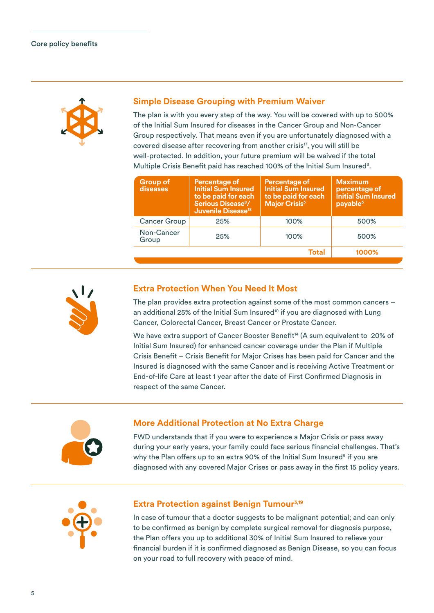

### **Simple Disease Grouping with Premium Waiver**

The plan is with you every step of the way. You will be covered with up to 500% of the Initial Sum Insured for diseases in the Cancer Group and Non-Cancer Group respectively. That means even if you are unfortunately diagnosed with a covered disease after recovering from another crisis<sup>17</sup>, you will still be well-protected. In addition, your future premium will be waived if the total Multiple Crisis Benefit paid has reached 100% of the Initial Sum Insured<sup>3</sup>.

| Group of<br>diseases | <b>Percentage of</b><br><b>Initial Sum Insured</b><br>to be paid for each<br>Serious Disease <sup>8</sup> /<br><b>Juvenile Disease<sup>18</sup></b> | <b>Percentage of</b><br><b>Initial Sum Insured</b><br>to be paid for each<br><b>Major Crisis<sup>3</sup></b> | <b>Maximum</b><br>percentage of<br><b>Initial Sum Insured</b><br>payable <sup>3</sup> |
|----------------------|-----------------------------------------------------------------------------------------------------------------------------------------------------|--------------------------------------------------------------------------------------------------------------|---------------------------------------------------------------------------------------|
| <b>Cancer Group</b>  | 25%                                                                                                                                                 | 100%                                                                                                         | 500%                                                                                  |
| Non-Cancer<br>Group  | 25%                                                                                                                                                 | 100%                                                                                                         | 500%                                                                                  |
|                      |                                                                                                                                                     | Total                                                                                                        | 1000%                                                                                 |
|                      |                                                                                                                                                     |                                                                                                              |                                                                                       |



### **Extra Protection When You Need It Most**

The plan provides extra protection against some of the most common cancers – an additional 25% of the Initial Sum Insured<sup>10</sup> if you are diagnosed with Lung Cancer, Colorectal Cancer, Breast Cancer or Prostate Cancer.

We have extra support of Cancer Booster Benefit<sup>14</sup> (A sum equivalent to 20% of Initial Sum Insured) for enhanced cancer coverage under the Plan if Multiple Crisis Benefit – Crisis Benefit for Major Crises has been paid for Cancer and the Insured is diagnosed with the same Cancer and is receiving Active Treatment or End-of-life Care at least 1 year after the date of First Confirmed Diagnosis in respect of the same Cancer.



### **More Additional Protection at No Extra Charge**

FWD understands that if you were to experience a Major Crisis or pass away during your early years, your family could face serious financial challenges. That's why the Plan offers up to an extra 90% of the Initial Sum Insured<sup>9</sup> if you are diagnosed with any covered Major Crises or pass away in the first 15 policy years.



### **Extra Protection against Benign Tumour<sup>3,19</sup>**

In case of tumour that a doctor suggests to be malignant potential; and can only to be confirmed as benign by complete surgical removal for diagnosis purpose, the Plan offers you up to additional 30% of Initial Sum Insured to relieve your financial burden if it is confirmed diagnosed as Benign Disease, so you can focus on your road to full recovery with peace of mind.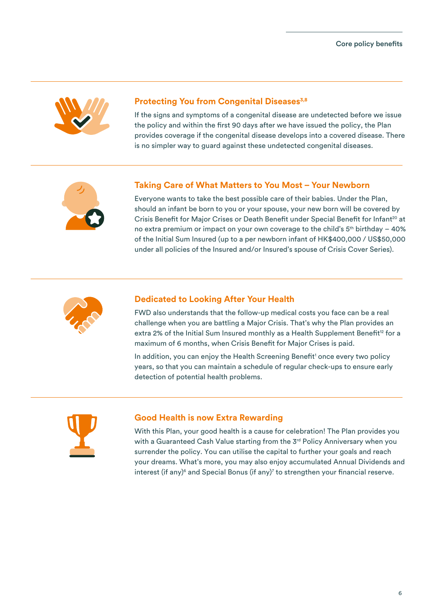

### **Protecting You from Congenital Diseases3,8**

If the signs and symptoms of a congenital disease are undetected before we issue the policy and within the first 90 days after we have issued the policy, the Plan provides coverage if the congenital disease develops into a covered disease. There is no simpler way to guard against these undetected congenital diseases.



### **Taking Care of What Matters to You Most – Your Newborn**

Everyone wants to take the best possible care of their babies. Under the Plan, should an infant be born to you or your spouse, your new born will be covered by Crisis Benefit for Major Crises or Death Benefit under Special Benefit for Infant<sup>20</sup> at no extra premium or impact on your own coverage to the child's  $5<sup>th</sup>$  birthday – 40% of the Initial Sum Insured (up to a per newborn infant of HK\$400,000 / US\$50,000 under all policies of the Insured and/or Insured's spouse of Crisis Cover Series).



### **Dedicated to Looking After Your Health**

FWD also understands that the follow-up medical costs you face can be a real challenge when you are battling a Major Crisis. That's why the Plan provides an extra 2% of the Initial Sum Insured monthly as a Health Supplement Benefit<sup>12</sup> for a maximum of 6 months, when Crisis Benefit for Major Crises is paid.

In addition, you can enjoy the Health Screening Benefit<sup>1</sup> once every two policy years, so that you can maintain a schedule of regular check-ups to ensure early detection of potential health problems.



### **Good Health is now Extra Rewarding**

With this Plan, your good health is a cause for celebration! The Plan provides you with a Guaranteed Cash Value starting from the 3<sup>rd</sup> Policy Anniversary when you surrender the policy. You can utilise the capital to further your goals and reach your dreams. What's more, you may also enjoy accumulated Annual Dividends and interest (if any)<sup>6</sup> and Special Bonus (if any)<sup>7</sup> to strengthen your financial reserve.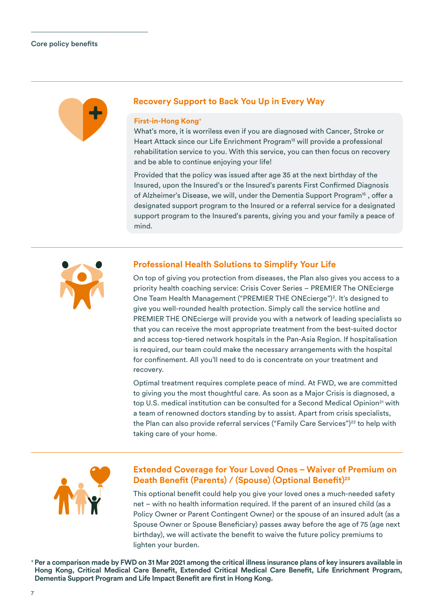

### **Recovery Support to Back You Up in Every Way**

#### **First-in-Hong Kong+**

What's more, it is worriless even if you are diagnosed with Cancer, Stroke or Heart Attack since our Life Enrichment Program<sup>13</sup> will provide a professional rehabilitation service to you. With this service, you can then focus on recovery and be able to continue enjoying your life!

Provided that the policy was issued after age 35 at the next birthday of the Insured, upon the Insured's or the Insured's parents First Confirmed Diagnosis of Alzheimer's Disease, we will, under the Dementia Support Program<sup>15</sup>, offer a designated support program to the Insured or a referral service for a designated support program to the Insured's parents, giving you and your family a peace of mind.



### **Professional Health Solutions to Simplify Your Life**

On top of giving you protection from diseases, the Plan also gives you access to a priority health coaching service: Crisis Cover Series – PREMIER The ONEcierge One Team Health Management ("PREMIER THE ONEcierge")2 . It's designed to give you well-rounded health protection. Simply call the service hotline and PREMIER THE ONEcierge will provide you with a network of leading specialists so that you can receive the most appropriate treatment from the best-suited doctor and access top-tiered network hospitals in the Pan-Asia Region. If hospitalisation is required, our team could make the necessary arrangements with the hospital for confinement. All you'll need to do is concentrate on your treatment and recovery.

Optimal treatment requires complete peace of mind. At FWD, we are committed to giving you the most thoughtful care. As soon as a Major Crisis is diagnosed, a top U.S. medical institution can be consulted for a Second Medical Opinion<sup>21</sup> with a team of renowned doctors standing by to assist. Apart from crisis specialists, the Plan can also provide referral services ("Family Care Services")<sup>22</sup> to help with taking care of your home.



### **Extended Coverage for Your Loved Ones – Waiver of Premium on**  Death Benefit (Parents) / (Spouse) (Optional Benefit)<sup>23</sup>

This optional benefit could help you give your loved ones a much-needed safety net – with no health information required. If the parent of an insured child (as a Policy Owner or Parent Contingent Owner) or the spouse of an insured adult (as a Spouse Owner or Spouse Beneficiary) passes away before the age of 75 (age next birthday), we will activate the benefit to waive the future policy premiums to lighten your burden.

**+ Per a comparison made by FWD on 31 Mar 2021 among the critical illness insurance plans of key insurers available in**  Hong Kong, Critical Medical Care Benefit, Extended Critical Medical Care Benefit, Life Enrichment Program, **Dementia Support Program and Life Impact Benefit are first in Hong Kong.**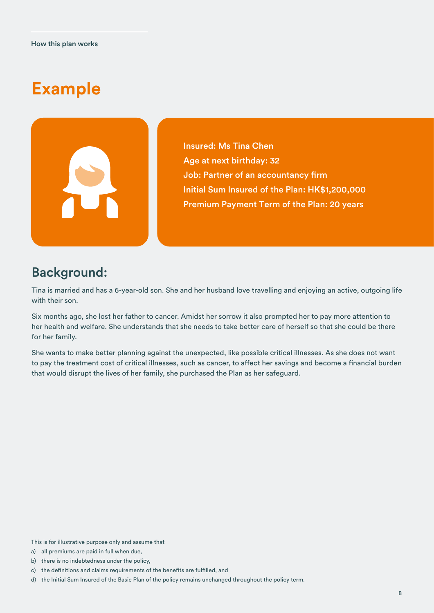# **Example**



Insured: Ms Tina Chen Age at next birthday: 32 Job: Partner of an accountancy firm Initial Sum Insured of the Plan: HK\$1,200,000 Premium Payment Term of the Plan: 20 years

### Background:

Tina is married and has a 6-year-old son. She and her husband love travelling and enjoying an active, outgoing life with their son.

Six months ago, she lost her father to cancer. Amidst her sorrow it also prompted her to pay more attention to her health and welfare. She understands that she needs to take better care of herself so that she could be there for her family.

She wants to make better planning against the unexpected, like possible critical illnesses. As she does not want to pay the treatment cost of critical illnesses, such as cancer, to affect her savings and become a financial burden that would disrupt the lives of her family, she purchased the Plan as her safeguard.

This is for illustrative purpose only and assume that

- a) all premiums are paid in full when due,
- b) there is no indebtedness under the policy,
- c) the definitions and claims requirements of the benefits are fulfilled, and
- d) the Initial Sum Insured of the Basic Plan of the policy remains unchanged throughout the policy term.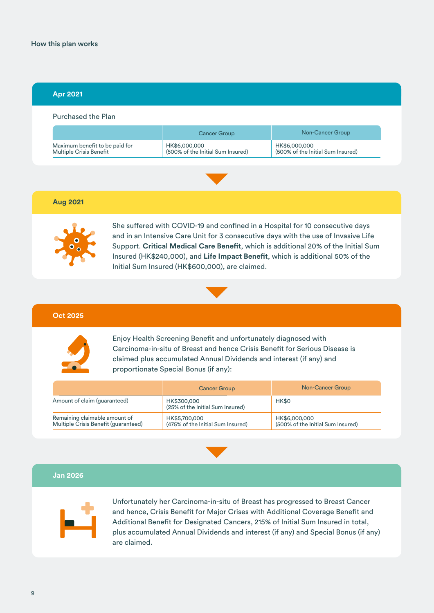### How this plan works

### **Apr 2021**

#### Purchased the Plan

|                                | Cancer Group                      | Non-Cancer Group                  |  |
|--------------------------------|-----------------------------------|-----------------------------------|--|
| Maximum benefit to be paid for | HK\$6,000,000                     | HK\$6,000,000                     |  |
| <b>Multiple Crisis Benefit</b> | (500% of the Initial Sum Insured) | (500% of the Initial Sum Insured) |  |



### **Aug 2021**



She suffered with COVID-19 and confined in a Hospital for 10 consecutive days and in an Intensive Care Unit for 3 consecutive days with the use of Invasive Life Support. Critical Medical Care Benefit, which is additional 20% of the Initial Sum Insured (HK\$240,000), and Life Impact Benefit, which is additional 50% of the Initial Sum Insured (HK\$600,000), are claimed.



#### **Oct 2025**



Enjoy Health Screening Benefit and unfortunately diagnosed with Carcinoma-in-situ of Breast and hence Crisis Benefit for Serious Disease is claimed plus accumulated Annual Dividends and interest (if any) and proportionate Special Bonus (if any):

|                                                                       | <b>Cancer Group</b>                                | Non-Cancer Group                                   |
|-----------------------------------------------------------------------|----------------------------------------------------|----------------------------------------------------|
| Amount of claim (guaranteed)                                          | HK\$300,000<br>(25% of the Initial Sum Insured)    | HK\$0                                              |
| Remaining claimable amount of<br>Multiple Crisis Benefit (guaranteed) | HK\$5,700,000<br>(475% of the Initial Sum Insured) | HK\$6,000,000<br>(500% of the Initial Sum Insured) |



### **Jan 2026**



Unfortunately her Carcinoma-in-situ of Breast has progressed to Breast Cancer and hence, Crisis Benefit for Major Crises with Additional Coverage Benefit and Additional Benefit for Designated Cancers, 215% of Initial Sum Insured in total, plus accumulated Annual Dividends and interest (if any) and Special Bonus (if any) are claimed.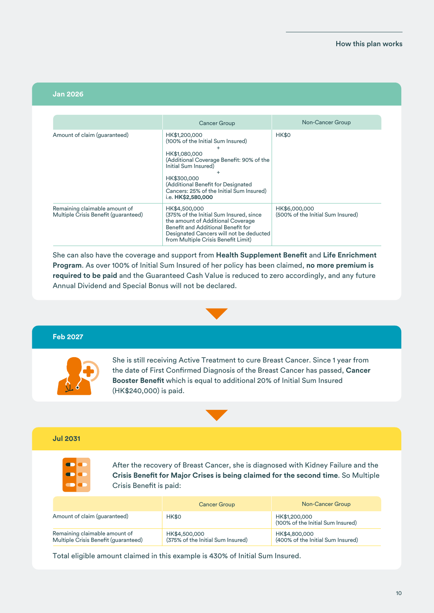#### **Jan 2026**

|                                                                       | Cancer Group                                                                                                                                                                                                                                                   | Non-Cancer Group                                   |
|-----------------------------------------------------------------------|----------------------------------------------------------------------------------------------------------------------------------------------------------------------------------------------------------------------------------------------------------------|----------------------------------------------------|
| Amount of claim (guaranteed)                                          | HK\$1,200,000<br>(100% of the Initial Sum Insured)<br>HK\$1,080,000<br>(Additional Coverage Benefit: 90% of the<br>Initial Sum Insured)<br>HK\$300,000<br>(Additional Benefit for Designated<br>Cancers: 25% of the Initial Sum Insured)<br>i.e. HK\$2,580,000 | <b>HK\$0</b>                                       |
| Remaining claimable amount of<br>Multiple Crisis Benefit (guaranteed) | HK\$4,500,000<br>(375% of the Initial Sum Insured, since<br>the amount of Additional Coverage<br>Benefit and Additional Benefit for<br>Designated Cancers will not be deducted<br>from Multiple Crisis Benefit Limit)                                          | HK\$6,000,000<br>(500% of the Initial Sum Insured) |

She can also have the coverage and support from Health Supplement Benefit and Life Enrichment **Program**. As over 100% of Initial Sum Insured of her policy has been claimed, **no more premium is required to be paid** and the Guaranteed Cash Value is reduced to zero accordingly, and any future Annual Dividend and Special Bonus will not be declared.



#### **Feb 2027**



She is still receiving Active Treatment to cure Breast Cancer. Since 1 year from the date of First Confirmed Diagnosis of the Breast Cancer has passed, Cancer **Booster Benefit** which is equal to additional 20% of Initial Sum Insured (HK\$240,000) is paid.



### **Jul 2031**



After the recovery of Breast Cancer, she is diagnosed with Kidney Failure and the **Crisis Benefit for Major Crises is being claimed for the second time.** So Multiple Crisis Benefit is paid:

|                                                                       | <b>Cancer Group</b>                                | Non-Cancer Group                                   |
|-----------------------------------------------------------------------|----------------------------------------------------|----------------------------------------------------|
| Amount of claim (guaranteed)                                          | HK\$0                                              | HK\$1,200,000<br>(100% of the Initial Sum Insured) |
| Remaining claimable amount of<br>Multiple Crisis Benefit (guaranteed) | HK\$4,500,000<br>(375% of the Initial Sum Insured) | HK\$4,800,000<br>(400% of the Initial Sum Insured) |

Total eligible amount claimed in this example is 430% of Initial Sum Insured.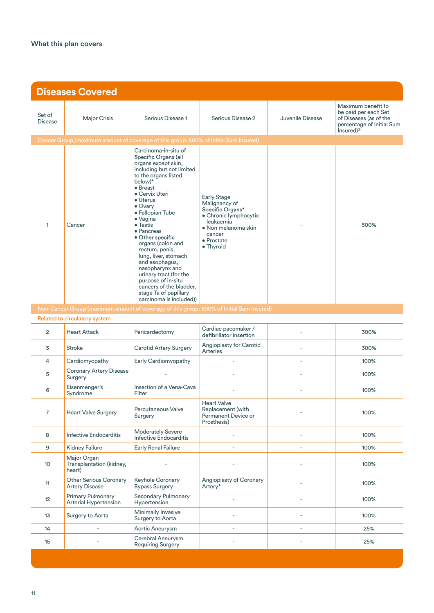| <b>Diseases Covered</b>  |                                                   |                                                                                                                                                                                                                                                                                                                                                                                                                                                                                                                           |                                                                                                                                                           |                          |                                                                                                                            |
|--------------------------|---------------------------------------------------|---------------------------------------------------------------------------------------------------------------------------------------------------------------------------------------------------------------------------------------------------------------------------------------------------------------------------------------------------------------------------------------------------------------------------------------------------------------------------------------------------------------------------|-----------------------------------------------------------------------------------------------------------------------------------------------------------|--------------------------|----------------------------------------------------------------------------------------------------------------------------|
| Set of<br><b>Disease</b> | <b>Major Crisis</b>                               | Serious Disease 1                                                                                                                                                                                                                                                                                                                                                                                                                                                                                                         | Serious Disease 2                                                                                                                                         | Juvenile Disease         | Maximum benefit to<br>be paid per each Set<br>of Diseases (as of the<br>percentage of Initial Sum<br>Insured) <sup>®</sup> |
|                          |                                                   | Cancer Group (maximum amount of coverage of this group: 500% of Initial Sum Insured)                                                                                                                                                                                                                                                                                                                                                                                                                                      |                                                                                                                                                           |                          |                                                                                                                            |
| 1                        | Cancer                                            | Carcinoma-in-situ of<br>Specific Organs (all<br>organs except skin,<br>including but not limited<br>to the organs listed<br>below)*<br>• Breast<br>• Cervix Uteri<br>• Uterus<br>$\bullet$ Ovary<br>· Fallopian Tube<br>· Vagina<br>$\bullet$ Testis<br>• Pancreas<br>• Other specific<br>organs (colon and<br>rectum, penis,<br>lung, liver, stomach<br>and esophagus,<br>nasopharynx and<br>urinary tract (for the<br>purpose of in-situ<br>cancers of the bladder,<br>stage Ta of papillary<br>carcinoma is included)) | <b>Early Stage</b><br>Malignancy of<br>Specific Organs*<br>· Chronic lymphocytic<br>leukaemia<br>• Non melanoma skin<br>cancer<br>• Prostate<br>• Thyroid |                          | 500%                                                                                                                       |
|                          | Related to circulatory system                     |                                                                                                                                                                                                                                                                                                                                                                                                                                                                                                                           | Non-Cancer Group (maximum amount of coverage of this group: 500% of Initial Sum Insured)                                                                  |                          |                                                                                                                            |
| $\overline{2}$           | <b>Heart Attack</b>                               | Pericardectomy                                                                                                                                                                                                                                                                                                                                                                                                                                                                                                            | Cardiac pacemaker /<br>defibrillator insertion                                                                                                            |                          | 300%                                                                                                                       |
| 3                        | <b>Stroke</b>                                     | <b>Carotid Artery Surgery</b>                                                                                                                                                                                                                                                                                                                                                                                                                                                                                             | Angioplasty for Carotid<br><b>Arteries</b>                                                                                                                |                          | 300%                                                                                                                       |
| 4                        | Cardiomyopathy                                    | Early Cardiomyopathy                                                                                                                                                                                                                                                                                                                                                                                                                                                                                                      |                                                                                                                                                           |                          | 100%                                                                                                                       |
| 5                        | <b>Coronary Artery Disease</b><br>Surgery         |                                                                                                                                                                                                                                                                                                                                                                                                                                                                                                                           |                                                                                                                                                           |                          | 100%                                                                                                                       |
| 6                        | Eisenmenger's<br>Syndrome                         | Insertion of a Vena-Cava<br>Filter                                                                                                                                                                                                                                                                                                                                                                                                                                                                                        |                                                                                                                                                           |                          | 100%                                                                                                                       |
| $\overline{7}$           | <b>Heart Valve Surgery</b>                        | Percutaneous Valve<br>Surgery                                                                                                                                                                                                                                                                                                                                                                                                                                                                                             | <b>Heart Valve</b><br>Replacement (with<br>Permanent Device or<br>Prosthesis)                                                                             |                          | 100%                                                                                                                       |
| 8                        | Infective Endocarditis                            | <b>Moderately Severe</b><br>Infective Endocarditis                                                                                                                                                                                                                                                                                                                                                                                                                                                                        | $\overline{\phantom{a}}$                                                                                                                                  | $\overline{\phantom{a}}$ | 100%                                                                                                                       |
| 9                        | Kidney Failure                                    | <b>Early Renal Failure</b>                                                                                                                                                                                                                                                                                                                                                                                                                                                                                                | $\overline{\phantom{a}}$                                                                                                                                  | $\overline{\phantom{a}}$ | 100%                                                                                                                       |
| 10 <sup>°</sup>          | Major Organ<br>Transplantation (kidney,<br>heart) |                                                                                                                                                                                                                                                                                                                                                                                                                                                                                                                           | ä,                                                                                                                                                        |                          | 100%                                                                                                                       |
| 11                       | Other Serious Coronary<br><b>Artery Disease</b>   | Keyhole Coronary<br><b>Bypass Surgery</b>                                                                                                                                                                                                                                                                                                                                                                                                                                                                                 | Angioplasty of Coronary<br>Artery*                                                                                                                        |                          | 100%                                                                                                                       |
| 12                       | Primary Pulmonary<br>Arterial Hypertension        | Secondary Pulmonary<br>Hypertension                                                                                                                                                                                                                                                                                                                                                                                                                                                                                       | $\overline{a}$                                                                                                                                            |                          | 100%                                                                                                                       |
| 13                       | Surgery to Aorta                                  | Minimally Invasive<br>Surgery to Aorta                                                                                                                                                                                                                                                                                                                                                                                                                                                                                    |                                                                                                                                                           |                          | 100%                                                                                                                       |

14 | Partic Aneurysm | Partic Aneurysm | Partic Aneurysm | Partic Aneurysm | Partic Aneurysm | Partic Aneurysm <sup>15</sup> - Cerebral Aneurysm Requiring Surgery - - 25%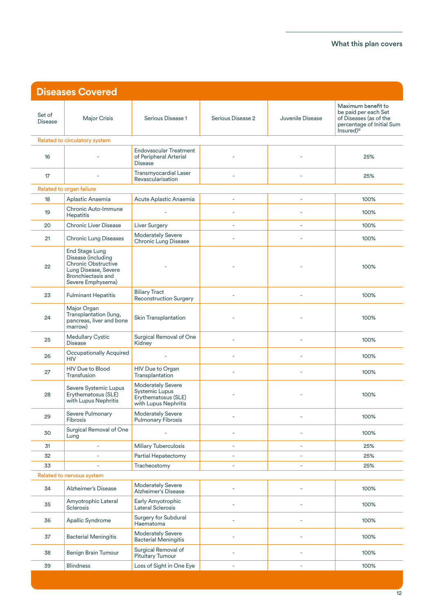| <b>Diseases Covered</b>   |                                                                                                                                       |                                                                                           |                          |                  |                                                                                                                            |
|---------------------------|---------------------------------------------------------------------------------------------------------------------------------------|-------------------------------------------------------------------------------------------|--------------------------|------------------|----------------------------------------------------------------------------------------------------------------------------|
| Set of<br><b>Disease</b>  | Major Crisis                                                                                                                          | Serious Disease 1                                                                         | Serious Disease 2        | Juvenile Disease | Maximum benefit to<br>be paid per each Set<br>of Diseases (as of the<br>percentage of Initial Sum<br>Insured) <sup>®</sup> |
|                           | Related to circulatory system                                                                                                         |                                                                                           |                          |                  |                                                                                                                            |
| 16                        |                                                                                                                                       | <b>Endovascular Treatment</b><br>of Peripheral Arterial<br><b>Disease</b>                 |                          |                  | 25%                                                                                                                        |
| 17                        |                                                                                                                                       | Transmyocardial Laser<br>Revascularisation                                                |                          |                  | 25%                                                                                                                        |
|                           | Related to organ failure                                                                                                              |                                                                                           |                          |                  |                                                                                                                            |
| 18                        | Aplastic Anaemia                                                                                                                      | Acute Aplastic Anaemia                                                                    | $\overline{\phantom{a}}$ | ÷.               | 100%                                                                                                                       |
| 19                        | Chronic Auto-Immune<br><b>Hepatitis</b>                                                                                               | ÷,                                                                                        | ÷,                       |                  | 100%                                                                                                                       |
| 20                        | <b>Chronic Liver Disease</b>                                                                                                          | Liver Surgery                                                                             | $\sim$                   | $\equiv$         | 100%                                                                                                                       |
| 21                        | <b>Chronic Lung Diseases</b>                                                                                                          | <b>Moderately Severe</b><br><b>Chronic Lung Disease</b>                                   | $\sim$                   |                  | 100%                                                                                                                       |
| 22                        | End Stage Lung<br>Disease (including<br><b>Chronic Obstructive</b><br>Lung Disease, Severe<br>Bronchiectasis and<br>Severe Emphysema) |                                                                                           |                          |                  | 100%                                                                                                                       |
| 23                        | <b>Fulminant Hepatitis</b>                                                                                                            | <b>Biliary Tract</b><br><b>Reconstruction Surgery</b>                                     | $\sim$                   |                  | 100%                                                                                                                       |
| 24                        | Major Organ<br>Transplantation (lung,<br>pancreas, liver and bone<br>marrow)                                                          | Skin Transplantation                                                                      |                          |                  | 100%                                                                                                                       |
| 25                        | Medullary Cystic<br><b>Disease</b>                                                                                                    | Surgical Removal of One<br>Kidney                                                         |                          |                  | 100%                                                                                                                       |
| 26                        | Occupationally Acquired<br><b>HIV</b>                                                                                                 | ä,                                                                                        |                          |                  | 100%                                                                                                                       |
| 27                        | HIV Due to Blood<br>Transfusion                                                                                                       | HIV Due to Organ<br>Transplantation                                                       | ÷.                       | ÷                | 100%                                                                                                                       |
| 28                        | Severe Systemic Lupus<br>Erythematosus (SLE)<br>with Lupus Nephritis                                                                  | <b>Moderately Severe</b><br>Systemic Lupus<br>Erythematosus (SLE)<br>with Lupus Nephritis |                          |                  | 100%                                                                                                                       |
| 29                        | Severe Pulmonary<br><b>Fibrosis</b>                                                                                                   | <b>Moderately Severe</b><br><b>Pulmonary Fibrosis</b>                                     |                          |                  | 100%                                                                                                                       |
| 30                        | Surgical Removal of One<br>Lung                                                                                                       |                                                                                           |                          |                  | 100%                                                                                                                       |
| 31                        |                                                                                                                                       | <b>Miliary Tuberculosis</b>                                                               |                          |                  | 25%                                                                                                                        |
| 32                        | L.                                                                                                                                    | Partial Hepatectomy                                                                       | i.                       | ÷.               | 25%                                                                                                                        |
| 33                        | ä,                                                                                                                                    | Tracheostomy                                                                              | ä,                       | ÷.               | 25%                                                                                                                        |
| Related to nervous system |                                                                                                                                       |                                                                                           |                          |                  |                                                                                                                            |
| 34                        | Alzheimer's Disease                                                                                                                   | <b>Moderately Severe</b><br><b>Alzheimer's Disease</b>                                    | L,                       |                  | 100%                                                                                                                       |
| 35                        | Amyotrophic Lateral<br>Sclerosis                                                                                                      | Early Amyotrophic<br>Lateral Sclerosis                                                    | L,                       |                  | 100%                                                                                                                       |
| 36                        | Apallic Syndrome                                                                                                                      | Surgery for Subdural<br>Haematoma                                                         |                          |                  | 100%                                                                                                                       |
| 37                        | <b>Bacterial Meningitis</b>                                                                                                           | <b>Moderately Severe</b><br><b>Bacterial Meningitis</b>                                   |                          |                  | 100%                                                                                                                       |
| 38                        | Benign Brain Tumour                                                                                                                   | Surgical Removal of<br>Pituitary Tumour                                                   |                          |                  | 100%                                                                                                                       |
| 39                        | <b>Blindness</b>                                                                                                                      | Loss of Sight in One Eye                                                                  | ä,                       | ÷,               | 100%                                                                                                                       |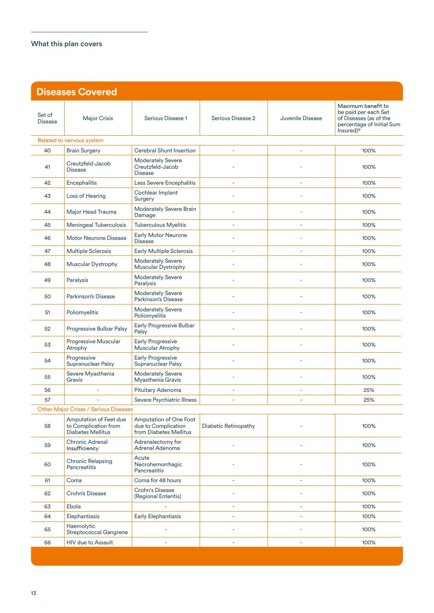| <b>Diseases Covered</b>  |                                                                            |                                                                         |                          |                          |                                                                                                                            |
|--------------------------|----------------------------------------------------------------------------|-------------------------------------------------------------------------|--------------------------|--------------------------|----------------------------------------------------------------------------------------------------------------------------|
| Set of<br><b>Disease</b> | <b>Major Crisis</b>                                                        | Serious Disease 1                                                       | Serious Disease 2        | Juvenile Disease         | Maximum benefit to<br>be paid per each Set<br>of Diseases (as of the<br>percentage of Initial Sum<br>Insured) <sup>®</sup> |
|                          | Related to nervous system                                                  |                                                                         |                          |                          |                                                                                                                            |
| 40                       | <b>Brain Surgery</b>                                                       | <b>Cerebral Shunt Insertion</b>                                         |                          |                          | 100%                                                                                                                       |
| 41                       | Creutzfeld-Jacob<br><b>Disease</b>                                         | <b>Moderately Severe</b><br>Creutzfeld-Jacob<br><b>Disease</b>          |                          |                          | 100%                                                                                                                       |
| 42                       | Encephalitis                                                               | Less Severe Encephalitis                                                | ÷,                       | ÷,                       | 100%                                                                                                                       |
| 43                       | Loss of Hearing                                                            | Cochlear Implant<br>Surgery                                             |                          |                          | 100%                                                                                                                       |
| 44                       | Major Head Trauma                                                          | Moderately Severe Brain<br>Damage                                       |                          | Ē,                       | 100%                                                                                                                       |
| 45                       | <b>Meningeal Tuberculosis</b>                                              | <b>Tuberculous Myelitis</b>                                             | ä,                       | ä,                       | 100%                                                                                                                       |
| 46                       | Motor Neurone Disease                                                      | <b>Early Motor Neurone</b><br><b>Disease</b>                            |                          |                          | 100%                                                                                                                       |
| 47                       | Multiple Sclerosis                                                         | <b>Early Multiple Sclerosis</b>                                         | $\sim$                   | ÷.                       | 100%                                                                                                                       |
| 48                       | Muscular Dystrophy                                                         | <b>Moderately Severe</b><br>Muscular Dystrophy                          |                          |                          | 100%                                                                                                                       |
| 49                       | Paralysis                                                                  | <b>Moderately Severe</b><br>Paralysis                                   | L.                       |                          | 100%                                                                                                                       |
| 50                       | Parkinson's Disease                                                        | <b>Moderately Severe</b><br>Parkinson's Disease                         |                          |                          | 100%                                                                                                                       |
| 51                       | Poliomyelitis                                                              | <b>Moderately Severe</b><br>Poliomyelitis                               |                          |                          | 100%                                                                                                                       |
| 52                       | Progressive Bulbar Palsy                                                   | Early Progressive Bulbar<br>Palsy                                       | L.                       |                          | 100%                                                                                                                       |
| 53                       | Progressive Muscular<br>Atrophy                                            | <b>Early Progressive</b><br>Muscular Atrophy                            |                          |                          | 100%                                                                                                                       |
| 54                       | Progressive<br>Supranuclear Palsy                                          | <b>Early Progressive</b><br>Supranuclear Palsy                          |                          |                          | 100%                                                                                                                       |
| 55                       | Severe Myasthenia<br>Gravis                                                | <b>Moderately Severe</b><br>Myasthenia Gravis                           | ÷.                       | ÷.                       | 100%                                                                                                                       |
| 56                       | $\sim$                                                                     | Pituitary Adenoma                                                       | ÷,                       | ÷,                       | 25%                                                                                                                        |
| 57                       |                                                                            | Severe Psychiatric Illness                                              | ä,                       | $\overline{\phantom{a}}$ | 25%                                                                                                                        |
|                          | Other Major Crises / Serious Diseases                                      |                                                                         |                          |                          |                                                                                                                            |
| 58                       | Amputation of Feet due<br>to Complication from<br><b>Diabetes Mellitus</b> | Amputation of One Foot<br>due to Complication<br>from Diabetes Mellitus | Diabetic Retinopathy     |                          | 100%                                                                                                                       |
| 59                       | Chronic Adrenal<br>Insufficiency                                           | Adrenalectomy for<br>Adrenal Adenoma                                    |                          |                          | 100%                                                                                                                       |
| 60                       | <b>Chronic Relapsing</b><br>Pancreatitis                                   | Acute<br>Necrohemorrhagic<br>Pancreatitis                               |                          |                          | 100%                                                                                                                       |
| 61                       | Coma                                                                       | Coma for 48 hours                                                       | $\overline{\phantom{a}}$ | $\bar{\phantom{a}}$      | 100%                                                                                                                       |
| 62                       | Crohn's Disease                                                            | <b>Crohn's Disease</b><br>(Regional Enteritis)                          |                          |                          | 100%                                                                                                                       |
| 63                       | Ebola                                                                      |                                                                         | $\overline{\phantom{a}}$ | $\bar{\phantom{a}}$      | 100%                                                                                                                       |
| 64                       | Elephantiasis                                                              | Early Elephantiasis                                                     | L,                       | ÷,                       | 100%                                                                                                                       |
| 65                       | Haemolytic<br>Streptococcal Gangrene                                       | ä,                                                                      | L,                       | ä,                       | 100%                                                                                                                       |
| 66                       | HIV due to Assault                                                         | L,                                                                      | ÷,                       | $\overline{\phantom{a}}$ | 100%                                                                                                                       |
|                          |                                                                            |                                                                         |                          |                          |                                                                                                                            |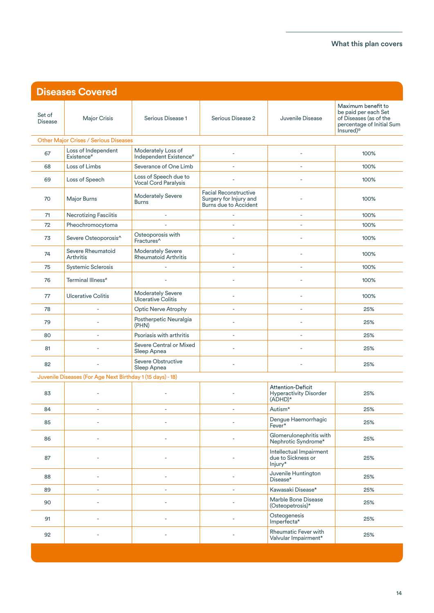| <b>Diseases Covered</b>  |                                                            |                                                          |                                                                                 |                                                                        |                                                                                                                            |
|--------------------------|------------------------------------------------------------|----------------------------------------------------------|---------------------------------------------------------------------------------|------------------------------------------------------------------------|----------------------------------------------------------------------------------------------------------------------------|
| Set of<br><b>Disease</b> | Major Crisis                                               | Serious Disease 1                                        | Serious Disease 2                                                               | Juvenile Disease                                                       | Maximum benefit to<br>be paid per each Set<br>of Diseases (as of the<br>percentage of Initial Sum<br>Insured) <sup>®</sup> |
|                          | <b>Other Major Crises / Serious Diseases</b>               |                                                          |                                                                                 |                                                                        |                                                                                                                            |
| 67                       | Loss of Independent<br>Existence#                          | Moderately Loss of<br>Independent Existence <sup>#</sup> | ÷.                                                                              | ÷.                                                                     | 100%                                                                                                                       |
| 68                       | Loss of Limbs                                              | Severance of One Limb                                    |                                                                                 | L.                                                                     | 100%                                                                                                                       |
| 69                       | Loss of Speech                                             | Loss of Speech due to<br><b>Vocal Cord Paralysis</b>     |                                                                                 |                                                                        | 100%                                                                                                                       |
| 70                       | Major Burns                                                | <b>Moderately Severe</b><br><b>Burns</b>                 | Facial Reconstructive<br>Surgery for Injury and<br><b>Burns due to Accident</b> |                                                                        | 100%                                                                                                                       |
| 71                       | <b>Necrotizing Fasciitis</b>                               | $\bar{a}$                                                |                                                                                 | ÷,                                                                     | 100%                                                                                                                       |
| 72                       | Pheochromocytoma                                           | $\bar{a}$                                                | ÷.                                                                              | J.                                                                     | 100%                                                                                                                       |
| 73                       | Severe Osteoporosis^                                       | Osteoporosis with<br>Fractures <sup>^</sup>              | ÷,                                                                              | L,                                                                     | 100%                                                                                                                       |
| 74                       | Severe Rheumatoid<br><b>Arthritis</b>                      | <b>Moderately Severe</b><br><b>Rheumatoid Arthritis</b>  | ÷.                                                                              | ÷.                                                                     | 100%                                                                                                                       |
| 75                       | Systemic Sclerosis                                         |                                                          | L.                                                                              | ÷.                                                                     | 100%                                                                                                                       |
| 76                       | Terminal Illness <sup>#</sup>                              |                                                          | L.                                                                              |                                                                        | 100%                                                                                                                       |
| 77                       | <b>Ulcerative Colitis</b>                                  | <b>Moderately Severe</b><br>Ulcerative Colitis           | L.                                                                              |                                                                        | 100%                                                                                                                       |
| 78                       |                                                            | <b>Optic Nerve Atrophy</b>                               | L.                                                                              | $\sim$                                                                 | 25%                                                                                                                        |
| 79                       |                                                            | Postherpetic Neuralgia<br>(PHN)                          | L,                                                                              |                                                                        | 25%                                                                                                                        |
| 80                       | ä,                                                         | Psoriasis with arthritis                                 | ä,                                                                              | L,                                                                     | 25%                                                                                                                        |
| 81                       |                                                            | Severe Central or Mixed<br>Sleep Apnea                   | L,                                                                              |                                                                        | 25%                                                                                                                        |
| 82                       | ÷,                                                         | Severe Obstructive<br>Sleep Apnea                        | ÷,                                                                              |                                                                        | 25%                                                                                                                        |
|                          | Juvenile Diseases (For Age Next Birthday 1 (15 days) - 18) |                                                          |                                                                                 |                                                                        |                                                                                                                            |
| 83                       |                                                            |                                                          |                                                                                 | <b>Attention-Deficit</b><br><b>Hyperactivity Disorder</b><br>$(ADHD)*$ | 25%                                                                                                                        |
| 84                       | ä,                                                         | ä,                                                       | ä,                                                                              | Autism*                                                                | 25%                                                                                                                        |
| 85                       |                                                            |                                                          |                                                                                 | Dengue Haemorrhagic<br>Fever*                                          | 25%                                                                                                                        |
| 86                       |                                                            |                                                          |                                                                                 | Glomerulonephritis with<br>Nephrotic Syndrome*                         | 25%                                                                                                                        |
| 87                       |                                                            |                                                          |                                                                                 | Intellectual Impairment<br>due to Sickness or<br>Injury*               | 25%                                                                                                                        |
| 88                       |                                                            | ÷.                                                       | ÷.                                                                              | Juvenile Huntington<br>Disease*                                        | 25%                                                                                                                        |
| 89                       |                                                            | ÷.                                                       | L,                                                                              | Kawasaki Disease*                                                      | 25%                                                                                                                        |
| 90                       |                                                            |                                                          | ٠                                                                               | Marble Bone Disease<br>(Osteopetrosis)*                                | 25%                                                                                                                        |
| 91                       |                                                            |                                                          |                                                                                 | Osteogenesis<br>Imperfecta*                                            | 25%                                                                                                                        |
| 92                       |                                                            |                                                          |                                                                                 | Rheumatic Fever with<br>Valvular Impairment*                           | 25%                                                                                                                        |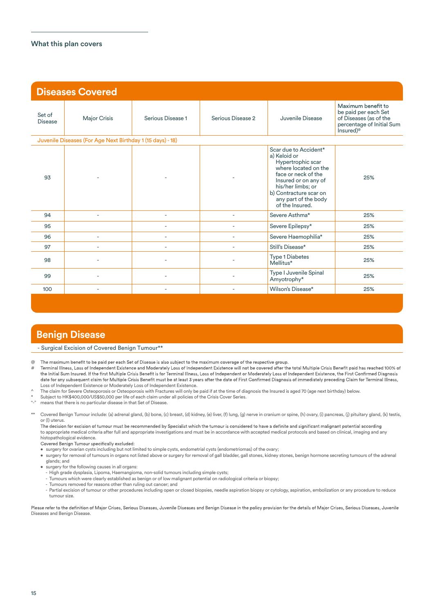| <b>Diseases Covered</b>  |                                                            |                          |                   |                                                                                                                                                                                                                             |                                                                                                                            |
|--------------------------|------------------------------------------------------------|--------------------------|-------------------|-----------------------------------------------------------------------------------------------------------------------------------------------------------------------------------------------------------------------------|----------------------------------------------------------------------------------------------------------------------------|
| Set of<br><b>Disease</b> | Major Crisis                                               | Serious Disease 1        | Serious Disease 2 | Juvenile Disease                                                                                                                                                                                                            | Maximum benefit to<br>be paid per each Set<br>of Diseases (as of the<br>percentage of Initial Sum<br>Insured) <sup>@</sup> |
|                          | Juvenile Diseases (For Age Next Birthday 1 (15 days) - 18) |                          |                   |                                                                                                                                                                                                                             |                                                                                                                            |
| 93                       |                                                            |                          |                   | Scar due to Accident*<br>a) Keloid or<br>Hypertrophic scar<br>where located on the<br>face or neck of the<br>Insured or on any of<br>his/her limbs; or<br>b) Contracture scar on<br>any part of the body<br>of the Insured. | 25%                                                                                                                        |
| 94                       | ٠                                                          | ٠                        | ÷.                | Severe Asthma*                                                                                                                                                                                                              | 25%                                                                                                                        |
| 95                       |                                                            | ٠                        | ÷,                | Severe Epilepsy*                                                                                                                                                                                                            | 25%                                                                                                                        |
| 96                       | ٠                                                          | ٠                        |                   | Severe Haemophilia*                                                                                                                                                                                                         | 25%                                                                                                                        |
| 97                       |                                                            |                          |                   | Still's Disease*                                                                                                                                                                                                            | 25%                                                                                                                        |
| 98                       |                                                            |                          |                   | <b>Type 1 Diabetes</b><br>Mellitus*                                                                                                                                                                                         | 25%                                                                                                                        |
| 99                       |                                                            |                          |                   | Type I Juvenile Spinal<br>Amyotrophy*                                                                                                                                                                                       | 25%                                                                                                                        |
| 100                      |                                                            | $\overline{\phantom{m}}$ |                   | Wilson's Disease*                                                                                                                                                                                                           | 25%                                                                                                                        |

### **Benign Disease**

#### - Surgical Excision of Covered Benign Tumour\*\*

 $\omega$ The maximum benefit to be paid per each Set of Disease is also subject to the maximum coverage of the respective group.

Terminal Illness, Loss of Independent Existence and Moderately Loss of Independent Existence will not be covered after the total Multiple Crisis Benefit paid has reached 100% of # the Initial Sum Insured. If the first Multiple Crisis Benefit is for Terminal Illness, Loss of Independent or Moderately Loss of Independent Existence, the First Confirmed Diagnosis date for any subsequent claim for Multiple Crisis Benefit must be at least 3 years after the date of First Confirmed Diagnosis of immediately preceding Claim for Terminal Illness, Loss of Independent Existence or Moderately Loss of Independent Existence.

- ^ The claim for Severe Osteoporosis or Osteoporosis with Fractures will only be paid if at the time of diagnosis the Insured is aged 70 (age next birthday) below.
- \* Subject to HK\$400,000/US\$50,000 per life of each claim under all policies of the Crisis Cover Series.
- "-" means that there is no particular disease in that Set of Disease.

\*\* Covered Benign Tumour include: (a) adrenal gland, (b) bone, (c) breast, (d) kidney, (e) liver, (f) lung, (g) nerve in cranium or spine, (h) ovary, (i) pancreas, (j) pituitary gland, (k) testis, or (l) uterus.

The decision for excision of tumour must be recommended by Specialist which the tumour is considered to have a definite and significant malignant potential according to appropriate medical criteria after full and appropriate investigations and must be in accordance with accepted medical protocols and based on clinical, imaging and any histopathological evidence.<br>Covered Benign Tumour specifically excluded:

- surgery for ovarian cysts including but not limited to simple cysts, endometrial cysts (endometriomas) of the ovary;
- surgery for removal of tumours in organs not listed above or surgery for removal of gall bladder, gall stones, kidney stones, benign hormone secreting tumours of the adrenal glands; and
- surgery for the following causes in all organs:
	- High grade dysplasia, Lipoma, Haemangioma, non-solid tumours including simple cysts;
	- Tumours which were clearly established as benign or of low malignant potential on radiological criteria or biopsy;
- Tumours removed for reasons other than ruling out cancer; and
- Partial excision of tumour or other procedures including open or closed biopsies, needle aspiration biopsy or cytology, aspiration, embolization or any procedure to reduce tumour size.

Please refer to the definition of Major Crises, Serious Diseases, Juvenile Diseases and Benign Disease in the policy provision for the details of Major Crises, Serious Diseases, Juvenile Diseases and Benign Disease.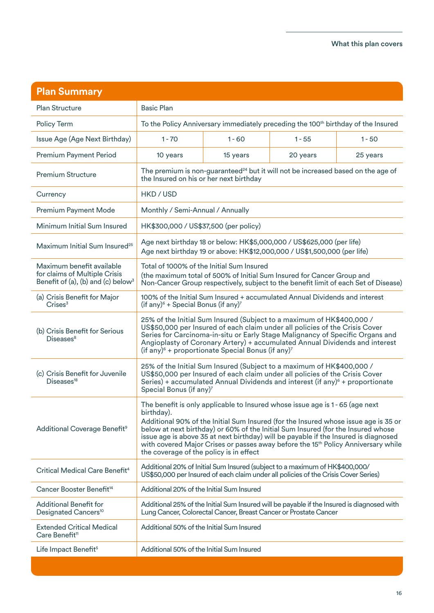| <b>Plan Summary</b>                                                                                          |                                                                                                                                                                                                                                                                                                                                                                                                                                                                                               |          |          |          |
|--------------------------------------------------------------------------------------------------------------|-----------------------------------------------------------------------------------------------------------------------------------------------------------------------------------------------------------------------------------------------------------------------------------------------------------------------------------------------------------------------------------------------------------------------------------------------------------------------------------------------|----------|----------|----------|
| <b>Plan Structure</b>                                                                                        | <b>Basic Plan</b>                                                                                                                                                                                                                                                                                                                                                                                                                                                                             |          |          |          |
| Policy Term                                                                                                  | To the Policy Anniversary immediately preceding the 100 <sup>th</sup> birthday of the Insured                                                                                                                                                                                                                                                                                                                                                                                                 |          |          |          |
| Issue Age (Age Next Birthday)                                                                                | $1 - 70$                                                                                                                                                                                                                                                                                                                                                                                                                                                                                      | $1 - 60$ | $1 - 55$ | $1 - 50$ |
| <b>Premium Payment Period</b>                                                                                | 10 years                                                                                                                                                                                                                                                                                                                                                                                                                                                                                      | 15 years | 20 years | 25 years |
| <b>Premium Structure</b>                                                                                     | The premium is non-guaranteed <sup>24</sup> but it will not be increased based on the age of<br>the Insured on his or her next birthday                                                                                                                                                                                                                                                                                                                                                       |          |          |          |
| Currency                                                                                                     | HKD / USD                                                                                                                                                                                                                                                                                                                                                                                                                                                                                     |          |          |          |
| <b>Premium Payment Mode</b>                                                                                  | Monthly / Semi-Annual / Annually                                                                                                                                                                                                                                                                                                                                                                                                                                                              |          |          |          |
| Minimum Initial Sum Insured                                                                                  | HK\$300,000 / US\$37,500 (per policy)                                                                                                                                                                                                                                                                                                                                                                                                                                                         |          |          |          |
| Maximum Initial Sum Insured <sup>25</sup>                                                                    | Age next birthday 18 or below: HK\$5,000,000 / US\$625,000 (per life)<br>Age next birthday 19 or above: HK\$12,000,000 / US\$1,500,000 (per life)                                                                                                                                                                                                                                                                                                                                             |          |          |          |
| Maximum benefit available<br>for claims of Multiple Crisis<br>Benefit of (a), (b) and (c) below <sup>3</sup> | Total of 1000% of the Initial Sum Insured<br>(the maximum total of 500% of Initial Sum Insured for Cancer Group and<br>Non-Cancer Group respectively, subject to the benefit limit of each Set of Disease)                                                                                                                                                                                                                                                                                    |          |          |          |
| (a) Crisis Benefit for Major<br>Crises <sup>3</sup>                                                          | 100% of the Initial Sum Insured + accumulated Annual Dividends and interest<br>(if any) <sup><math>6</math></sup> + Special Bonus (if any) <sup>7</sup>                                                                                                                                                                                                                                                                                                                                       |          |          |          |
| (b) Crisis Benefit for Serious<br>Diseases <sup>8</sup>                                                      | 25% of the Initial Sum Insured (Subject to a maximum of HK\$400,000 /<br>US\$50,000 per Insured of each claim under all policies of the Crisis Cover<br>Series for Carcinoma-in-situ or Early Stage Malignancy of Specific Organs and<br>Angioplasty of Coronary Artery) + accumulated Annual Dividends and interest<br>(if any) <sup>6</sup> + proportionate Special Bonus (if any) <sup>7</sup>                                                                                             |          |          |          |
| (c) Crisis Benefit for Juvenile<br>Diseases <sup>18</sup>                                                    | 25% of the Initial Sum Insured (Subject to a maximum of HK\$400,000 /<br>US\$50,000 per Insured of each claim under all policies of the Crisis Cover<br>Series) + accumulated Annual Dividends and interest (if any) <sup>6</sup> + proportionate<br>Special Bonus (if any) <sup>7</sup>                                                                                                                                                                                                      |          |          |          |
| Additional Coverage Benefit <sup>9</sup>                                                                     | The benefit is only applicable to Insured whose issue age is 1 - 65 (age next<br>birthday).<br>Additional 90% of the Initial Sum Insured (for the Insured whose issue age is 35 or<br>below at next birthday) or 60% of the Initial Sum Insured (for the Insured whose<br>issue age is above 35 at next birthday) will be payable if the Insured is diagnosed<br>with covered Major Crises or passes away before the 15th Policy Anniversary while<br>the coverage of the policy is in effect |          |          |          |
| Critical Medical Care Benefit <sup>4</sup>                                                                   | Additional 20% of Initial Sum Insured (subject to a maximum of HK\$400,000/<br>US\$50,000 per Insured of each claim under all policies of the Crisis Cover Series)                                                                                                                                                                                                                                                                                                                            |          |          |          |
| Cancer Booster Benefit <sup>14</sup>                                                                         | Additional 20% of the Initial Sum Insured                                                                                                                                                                                                                                                                                                                                                                                                                                                     |          |          |          |
| <b>Additional Benefit for</b><br>Designated Cancers <sup>10</sup>                                            | Additional 25% of the Initial Sum Insured will be payable if the Insured is diagnosed with<br>Lung Cancer, Colorectal Cancer, Breast Cancer or Prostate Cancer                                                                                                                                                                                                                                                                                                                                |          |          |          |
| <b>Extended Critical Medical</b><br>Care Benefit <sup>11</sup>                                               | Additional 50% of the Initial Sum Insured                                                                                                                                                                                                                                                                                                                                                                                                                                                     |          |          |          |
| Life Impact Benefit <sup>5</sup>                                                                             | Additional 50% of the Initial Sum Insured                                                                                                                                                                                                                                                                                                                                                                                                                                                     |          |          |          |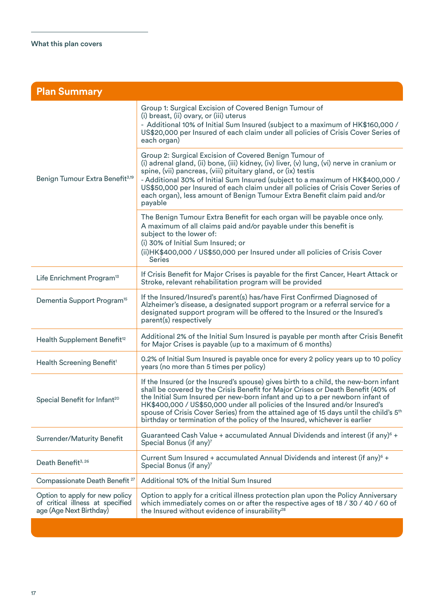| <b>Plan Summary</b>                                                                           |                                                                                                                                                                                                                                                                                                                                                                                                                                                                                                                             |  |
|-----------------------------------------------------------------------------------------------|-----------------------------------------------------------------------------------------------------------------------------------------------------------------------------------------------------------------------------------------------------------------------------------------------------------------------------------------------------------------------------------------------------------------------------------------------------------------------------------------------------------------------------|--|
| Benign Tumour Extra Benefit <sup>3,19</sup>                                                   | Group 1: Surgical Excision of Covered Benign Tumour of<br>(i) breast, (ii) ovary, or (iii) uterus<br>- Additional 10% of Initial Sum Insured (subject to a maximum of HK\$160,000 /<br>US\$20,000 per Insured of each claim under all policies of Crisis Cover Series of<br>each organ)                                                                                                                                                                                                                                     |  |
|                                                                                               | Group 2: Surgical Excision of Covered Benign Tumour of<br>(i) adrenal gland, (ii) bone, (iii) kidney, (iv) liver, (v) lung, (vi) nerve in cranium or<br>spine, (vii) pancreas, (viii) pituitary gland, or (ix) testis<br>- Additional 30% of Initial Sum Insured (subject to a maximum of HK\$400,000 /<br>US\$50,000 per Insured of each claim under all policies of Crisis Cover Series of<br>each organ), less amount of Benign Tumour Extra Benefit claim paid and/or<br>payable                                        |  |
|                                                                                               | The Benign Tumour Extra Benefit for each organ will be payable once only.<br>A maximum of all claims paid and/or payable under this benefit is<br>subject to the lower of:<br>(i) 30% of Initial Sum Insured; or<br>(ii) HK\$400,000 / US\$50,000 per Insured under all policies of Crisis Cover<br><b>Series</b>                                                                                                                                                                                                           |  |
| Life Enrichment Program <sup>13</sup>                                                         | If Crisis Benefit for Major Crises is payable for the first Cancer, Heart Attack or<br>Stroke, relevant rehabilitation program will be provided                                                                                                                                                                                                                                                                                                                                                                             |  |
| Dementia Support Program <sup>15</sup>                                                        | If the Insured/Insured's parent(s) has/have First Confirmed Diagnosed of<br>Alzheimer's disease, a designated support program or a referral service for a<br>designated support program will be offered to the Insured or the Insured's<br>parent(s) respectively                                                                                                                                                                                                                                                           |  |
| Health Supplement Benefit <sup>12</sup>                                                       | Additional 2% of the Initial Sum Insured is payable per month after Crisis Benefit<br>for Major Crises is payable (up to a maximum of 6 months)                                                                                                                                                                                                                                                                                                                                                                             |  |
| Health Screening Benefit <sup>1</sup>                                                         | 0.2% of Initial Sum Insured is payable once for every 2 policy years up to 10 policy<br>years (no more than 5 times per policy)                                                                                                                                                                                                                                                                                                                                                                                             |  |
| Special Benefit for Infant <sup>20</sup>                                                      | If the Insured (or the Insured's spouse) gives birth to a child, the new-born infant<br>shall be covered by the Crisis Benefit for Major Crises or Death Benefit (40% of<br>the Initial Sum Insured per new-born infant and up to a per newborn infant of<br>HK\$400,000 / US\$50,000 under all policies of the Insured and/or Insured's<br>spouse of Crisis Cover Series) from the attained age of 15 days until the child's 5 <sup>th</sup><br>birthday or termination of the policy of the Insured, whichever is earlier |  |
| <b>Surrender/Maturity Benefit</b>                                                             | Guaranteed Cash Value + accumulated Annual Dividends and interest (if any) <sup>6</sup> +<br>Special Bonus (if any)7                                                                                                                                                                                                                                                                                                                                                                                                        |  |
| Death Benefit <sup>3, 26</sup>                                                                | Current Sum Insured + accumulated Annual Dividends and interest (if any) <sup>6</sup> +<br>Special Bonus (if any) <sup>7</sup>                                                                                                                                                                                                                                                                                                                                                                                              |  |
| Compassionate Death Benefit <sup>27</sup>                                                     | Additional 10% of the Initial Sum Insured                                                                                                                                                                                                                                                                                                                                                                                                                                                                                   |  |
| Option to apply for new policy<br>of critical illness at specified<br>age (Age Next Birthday) | Option to apply for a critical illness protection plan upon the Policy Anniversary<br>which immediately comes on or after the respective ages of 18 / 30 / 40 / 60 of<br>the Insured without evidence of insurability <sup>28</sup>                                                                                                                                                                                                                                                                                         |  |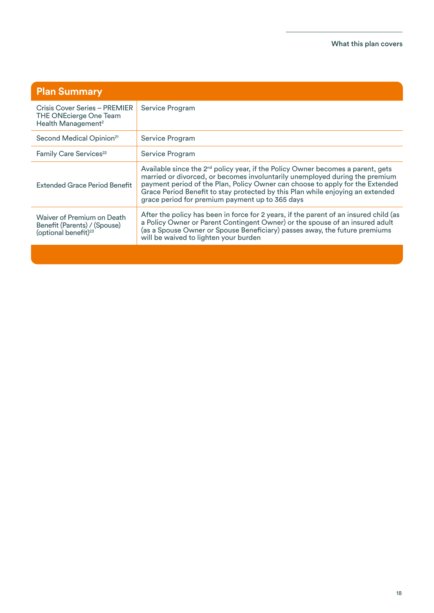| <b>Plan Summary</b>                                                                            |                                                                                                                                                                                                                                                                                                                                                                                                  |
|------------------------------------------------------------------------------------------------|--------------------------------------------------------------------------------------------------------------------------------------------------------------------------------------------------------------------------------------------------------------------------------------------------------------------------------------------------------------------------------------------------|
| Crisis Cover Series - PREMIER<br>THE ONEcierge One Team<br>Health Management <sup>2</sup>      | Service Program                                                                                                                                                                                                                                                                                                                                                                                  |
| Second Medical Opinion <sup>21</sup>                                                           | Service Program                                                                                                                                                                                                                                                                                                                                                                                  |
| Family Care Services <sup>22</sup>                                                             | Service Program                                                                                                                                                                                                                                                                                                                                                                                  |
| Extended Grace Period Benefit                                                                  | Available since the 2 <sup>nd</sup> policy year, if the Policy Owner becomes a parent, gets<br>married or divorced, or becomes involuntarily unemployed during the premium<br>payment period of the Plan, Policy Owner can choose to apply for the Extended<br>Grace Period Benefit to stay protected by this Plan while enjoying an extended<br>grace period for premium payment up to 365 days |
| Waiver of Premium on Death<br>Benefit (Parents) / (Spouse)<br>(optional benefit) <sup>23</sup> | After the policy has been in force for 2 years, if the parent of an insured child (as<br>a Policy Owner or Parent Contingent Owner) or the spouse of an insured adult<br>(as a Spouse Owner or Spouse Beneficiary) passes away, the future premiums<br>will be waived to lighten your burden                                                                                                     |
|                                                                                                |                                                                                                                                                                                                                                                                                                                                                                                                  |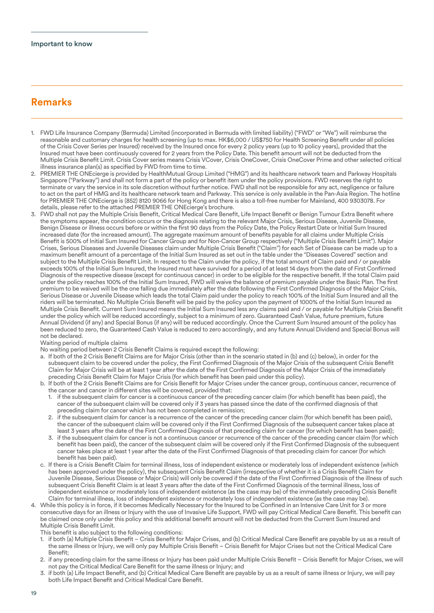### **Remarks**

- 1. FWD Life Insurance Company (Bermuda) Limited (incorporated in Bermuda with limited liability) ("FWD" or "We") will reimburse the reasonable and customary charges for health screening (up to max. HK\$6,000 / US\$750 for Health Screening Benefit under all policies of the Crisis Cover Series per Insured) received by the Insured once for every 2 policy years (up to 10 policy years), provided that the Insured must have been continuously covered for 2 years from the Policy Date. This benefit amount will not be deducted from the Multiple Crisis Benefit Limit. Crisis Cover series means Crisis VCover, Crisis OneCover, Crisis OneCover Prime and other selected critical illness insurance plan(s) as specified by FWD from time to time.
- 2. PREMIER THE ONEcierge is provided by HealthMutual Group Limited ("HMG") and its healthcare network team and Parkway Hospitals Singapore ("Parkway") and shall not form a part of the policy or benefit item under the policy provisions. FWD reserves the right to terminate or vary the service in its sole discretion without further notice. FWD shall not be responsible for any act, negligence or failure to act on the part of HMG and its healthcare network team and Parkway. This service is only available in the Pan-Asia Region. The hotline for PREMIER THE ONEcierge is (852) 8120 9066 for Hong Kong and there is also a toll-free number for Mainland, 400 9303078. For details, please refer to the attached PREMIER THE ONEcierge's brochure.
- 3. FWD shall not pay the Multiple Crisis Benefit, Critical Medical Care Benefit, Life Impact Benefit or Benign Tumour Extra Benefit where the symptoms appear, the condition occurs or the diagnosis relating to the relevant Major Crisis, Serious Disease, Juvenile Disease, Benign Disease or illness occurs before or within the first 90 days from the Policy Date, the Policy Restart Date or Initial Sum Insured increased date (for the increased amount). The aggregate maximum amount of benefits payable for all claims under Multiple Crisis Benefit is 500% of Initial Sum Insured for Cancer Group and for Non-Cancer Group respectively ("Multiple Crisis Benefit Limit"). Major Crises, Serious Diseases and Juvenile Diseases claim under Multiple Crisis Benefit ("Claim") for each Set of Disease can be made up to a maximum benefit amount of a percentage of the Initial Sum Insured as set out in the table under the "Diseases Covered" section and subject to the Multiple Crisis Benefit Limit. In respect to the Claim under the policy, if the total amount of Claim paid and / or payable exceeds 100% of the Initial Sum Insured, the Insured must have survived for a period of at least 14 days from the date of First Confirmed Diagnosis of the respective disease (except for continuous cancer) in order to be eligible for the respective benefit. If the total Claim paid under the policy reaches 100% of the Initial Sum Insured, FWD will waive the balance of premium payable under the Basic Plan. The first premium to be waived will be the one falling due immediately after the date following the First Confirmed Diagnosis of the Major Crisis, Serious Disease or Juvenile Disease which leads the total Claim paid under the policy to reach 100% of the Initial Sum Insured and all the riders will be terminated. No Multiple Crisis Benefit will be paid by the policy upon the payment of 1000% of the Initial Sum Insured as Multiple Crisis Benefit. Current Sum Insured means the Initial Sum Insured less any claims paid and / or payable for Multiple Crisis Benefit under the policy which will be reduced accordingly, subject to a minimum of zero. Guaranteed Cash Value, future premium, future Annual Dividend (if any) and Special Bonus (if any) will be reduced accordingly. Once the Current Sum Insured amount of the policy has been reduced to zero, the Guaranteed Cash Value is reduced to zero accordingly, and any future Annual Dividend and Special Bonus will not be declared.

Waiting period of multiple claims

No waiting period between 2 Crisis Benefit Claims is required except the following:

- a. If both of the 2 Crisis Benefit Claims are for Major Crisis (other than in the scenario stated in (b) and (c) below), in order for the subsequent claim to be covered under the policy, the First Confirmed Diagnosis of the Major Crisis of the subsequent Crisis Benefit Claim for Major Crisis will be at least 1 year after the date of the First Confirmed Diagnosis of the Major Crisis of the immediately preceding Crisis Benefit Claim for Major Crisis (for which benefit has been paid under this policy).
- b. If both of the 2 Crisis Benefit Claims are for Crisis Benefit for Major Crises under the cancer group, continuous cancer, recurrence of the cancer and cancer in different sites will be covered, provided that:
	- 1. if the subsequent claim for cancer is a continuous cancer of the preceding cancer claim (for which benefit has been paid), the cancer of the subsequent claim will be covered only if 3 years has passed since the date of the confirmed diagnosis of that preceding claim for cancer which has not been completed in remission;
	- 2. if the subsequent claim for cancer is a recurrence of the cancer of the preceding cancer claim (for which benefit has been paid), the cancer of the subsequent claim will be covered only if the First Confirmed Diagnosis of the subsequent cancer takes place at least 3 years after the date of the First Confirmed Diagnosis of that preceding claim for cancer (for which benefit has been paid);
	- 3. if the subsequent claim for cancer is not a continuous cancer or recurrence of the cancer of the preceding cancer claim (for which benefit has been paid), the cancer of the subsequent claim will be covered only if the First Confirmed Diagnosis of the subsequent cancer takes place at least 1 year after the date of the First Confirmed Diagnosis of that preceding claim for cancer (for which benefit has been paid).
- c. If there is a Crisis Benefit Claim for terminal illness, loss of independent existence or moderately loss of independent existence (which has been approved under the policy), the subsequent Crisis Benefit Claim (irrespective of whether it is a Crisis Benefit Claim for Juvenile Disease, Serious Disease or Major Crisis) will only be covered if the date of the First Confirmed Diagnosis of the illness of such subsequent Crisis Benefit Claim is at least 3 years after the date of the First Confirmed Diagnosis of the terminal illness, loss of independent existence or moderately loss of independent existence (as the case may be) of the immediately preceding Crisis Benefit Claim for terminal illness, loss of independent existence or moderately loss of independent existence (as the case may be).
- 4. While this policy is in force, if it becomes Medically Necessary for the Insured to be Confined in an Intensive Care Unit for 3 or more consecutive days for an illness or Injury with the use of Invasive Life Support, FWD will pay Critical Medical Care Benefit. This benefit can be claimed once only under this policy and this additional benefit amount will not be deducted from the Current Sum Insured and Multiple Crisis Benefit Limit.

This benefit is also subject to the following conditions:

- 1. if both (a) Multiple Crisis Benefit Crisis Benefit for Major Crises, and (b) Critical Medical Care Benefit are payable by us as a result of the same illness or Injury, we will only pay Multiple Crisis Benefit – Crisis Benefit for Major Crises but not the Critical Medical Care Benefit:
- 2. if any preceding claim for the same illness or Injury has been paid under Multiple Crisis Benefit Crisis Benefit for Major Crises, we will not pay the Critical Medical Care Benefit for the same illness or Injury; and<br>3 if both (a) Life Impact Benefit, and (b) Critical Medical Care Benefit are pay
- if both (a) Life Impact Benefit, and (b) Critical Medical Care Benefit are payable by us as a result of same illness or Injury, we will pay both Life Impact Benefit and Critical Medical Care Benefit.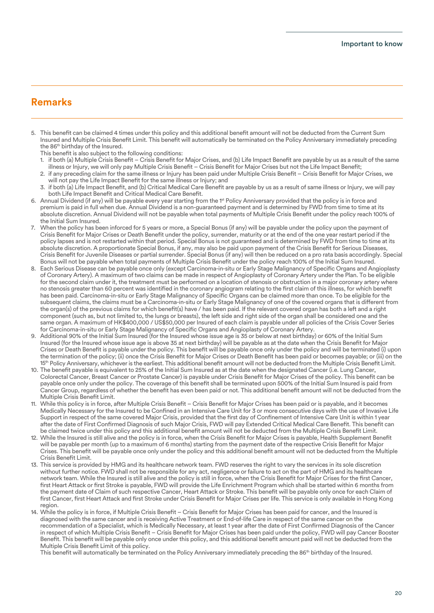### **Remarks**

- 5. This benefit can be claimed 4 times under this policy and this additional benefit amount will not be deducted from the Current Sum Insured and Multiple Crisis Benefit Limit. This benefit will automatically be terminated on the Policy Anniversary immediately preceding the 86<sup>th</sup> birthday of the Insured.
	- This benefit is also subject to the following conditions:
	- 1. if both (a) Multiple Crisis Benefit Crisis Benefit for Major Crises, and (b) Life Impact Benefit are payable by us as a result of the same illness or Injury, we will only pay Multiple Crisis Benefit – Crisis Benefit for Major Crises but not the Life Impact Benefit;
	- 2. if any preceding claim for the same illness or Injury has been paid under Multiple Crisis Benefit Crisis Benefit for Major Crises, we will not pay the Life Impact Benefit for the same illness or Injury; and
	- 3. if both (a) Life Impact Benefit, and (b) Critical Medical Care Benefit are payable by us as a result of same illness or Injury, we will pay both Life Impact Benefit and Critical Medical Care Benefit.
- 6. Annual Dividend (if any) will be payable every year starting from the 1st Policy Anniversary provided that the policy is in force and premium is paid in full when due. Annual Dividend is a non-guaranteed payment and is determined by FWD from time to time at its absolute discretion. Annual Dividend will not be payable when total payments of Multiple Crisis Benefit under the policy reach 100% of the Initial Sum Insured.
- 7. When the policy has been inforced for 5 years or more, a Special Bonus (if any) will be payable under the policy upon the payment of Crisis Benefit for Major Crises or Death Benefit under the policy, surrender, maturity or at the end of the one year restart period if the policy lapses and is not restarted within that period. Special Bonus is not guaranteed and is determined by FWD from time to time at its absolute discretion. A proportionate Special Bonus, if any, may also be paid upon payment of the Crisis Benefit for Serious Diseases, Crisis Benefit for Juvenile Diseases or partial surrender. Special Bonus (if any) will then be reduced on a pro rata basis accordingly. Special Bonus will not be payable when total payments of Multiple Crisis Benefit under the policy reach 100% of the Initial Sum Insured.
- 8. Each Serious Disease can be payable once only (except Carcinoma-in-situ or Early Stage Malignancy of Specific Organs and Angioplasty of Coronary Artery). A maximum of two claims can be made in respect of Angioplasty of Coronary Artery under the Plan. To be eligible for the second claim under it, the treatment must be performed on a location of stenosis or obstruction in a major coronary artery where no stenosis greater than 60 percent was identified in the coronary angiogram relating to the first claim of this illness, for which benefit has been paid. Carcinoma-in-situ or Early Stage Malignancy of Specific Organs can be claimed more than once. To be eligible for the subsequent claims, the claims must be a Carcinoma-in-situ or Early Stage Malignancy of one of the covered organs that is different from the organ(s) of the previous claims for which benefit(s) have / has been paid. If the relevant covered organ has both a left and a right component (such as, but not limited to, the lungs or breasts), the left side and right side of the organ shall be considered one and the same organ. A maximum of HK\$400,000 / US\$50,000 per Insured of each claim is payable under all policies of the Crisis Cover Series for Carcinoma-in-situ or Early Stage Malignancy of Specific Organs and Angioplasty of Coronary Artery.
- 9. Additional 90% of the Initial Sum Insured (for the Insured whose issue age is 35 or below at next birthday) or 60% of the Initial Sum Insured (for the Insured whose issue age is above 35 at next birthday) will be payable as at the date when the Crisis Benefit for Major Crises or Death Benefit is payable under the policy. This benefit will be payable once only under the policy and will be terminated (i) upon the termination of the policy; (ii) once the Crisis Benefit for Major Crises or Death Benefit has been paid or becomes payable; or (iii) on the 15<sup>th</sup> Policy Anniversary, whichever is the earliest. This additional benefit amount will not be deducted from the Multiple Crisis Benefit Limit.
- 10. The benefit payable is equivalent to 25% of the Initial Sum Insured as at the date when the designated Cancer (i.e. Lung Cancer, Colorectal Cancer, Breast Cancer or Prostate Cancer) is payable under Crisis Benefit for Major Crises of the policy. This benefit can be payable once only under the policy. The coverage of this benefit shall be terminated upon 500% of the Initial Sum Insured is paid from Cancer Group, regardless of whether the benefit has even been paid or not. This additional benefit amount will not be deducted from the Multiple Crisis Benefit Limit.
- 11. While this policy is in force, after Multiple Crisis Benefit Crisis Benefit for Major Crises has been paid or is payable, and it becomes Medically Necessary for the Insured to be Confined in an Intensive Care Unit for 3 or more consecutive days with the use of Invasive Life Support in respect of the same covered Major Crisis, provided that the first day of Confinement of Intensive Care Unit is within 1 year after the date of First Confirmed Diagnosis of such Major Crisis, FWD will pay Extended Critical Medical Care Benefit. This benefit can be claimed twice under this policy and this additional benefit amount will not be deducted from the Multiple Crisis Benefit Limit.
- 12. While the Insured is still alive and the policy is in force, when the Crisis Benefit for Major Crises is payable, Health Supplement Benefit will be payable per month (up to a maximum of 6 months) starting from the payment date of the respective Crisis Benefit for Major Crises. This benefit will be payable once only under the policy and this additional benefit amount will not be deducted from the Multiple Crisis Benefit Limit.
- 13. This service is provided by HMG and its healthcare network team. FWD reserves the right to vary the services in its sole discretion without further notice. FWD shall not be responsible for any act, negligence or failure to act on the part of HMG and its healthcare network team. While the Insured is still alive and the policy is still in force, when the Crisis Benefit for Major Crises for the first Cancer, first Heart Attack or first Stroke is payable, FWD will provide the Life Enrichment Program which shall be started within 6 months from the payment date of Claim of such respective Cancer, Heart Attack or Stroke. This benefit will be payable only once for each Claim of first Cancer, first Heart Attack and first Stroke under Crisis Benefit for Major Crises per life. This service is only available in Hong Kong region.
- 14. While the policy is in force, if Multiple Crisis Benefit Crisis Benefit for Major Crises has been paid for cancer, and the Insured is diagnosed with the same cancer and is receiving Active Treatment or End-of-life Care in respect of the same cancer on the recommendation of a Specialist, which is Medically Necessary, at least 1 year after the date of First Confirmed Diagnosis of the Cancer in respect of which Multiple Crisis Benefit – Crisis Benefit for Major Crises has been paid under the policy, FWD will pay Cancer Booster Benefit. This benefit will be payable only once under this policy, and this additional benefit amount paid will not be deducted from the Multiple Crisis Benefit Limit of this policy.

This benefit will automatically be terminated on the Policy Anniversary immediately preceding the 86<sup>th</sup> birthday of the Insured.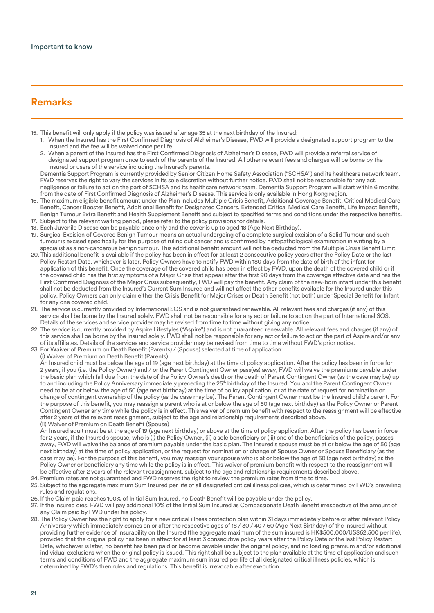### **Remarks**

- 15. This benefit will only apply if the policy was issued after age 35 at the next birthday of the Insured:
	- 1. When the Insured has the First Confirmed Diagnosis of Alzheimer's Disease, FWD will provide a designated support program to the Insured and the fee will be waived once per life.
	- 2. When a parent of the Insured has the First Confirmed Diagnosis of Alzheimer's Disease, FWD will provide a referral service of designated support program once to each of the parents of the Insured. All other relevant fees and charges will be borne by the Insured or users of the service including the Insured's parents.

 Dementia Support Program is currently provided by Senior Citizen Home Safety Association ("SCHSA") and its healthcare network team. FWD reserves the right to vary the services in its sole discretion without further notice. FWD shall not be responsible for any act, negligence or failure to act on the part of SCHSA and its healthcare network team. Dementia Support Program will start within 6 months from the date of First Confirmed Diagnosis of Alzheimer's Disease. This service is only available in Hong Kong region.

- 16. The maximum eligible benefit amount under the Plan includes Multiple Crisis Benefit, Additional Coverage Benefit, Critical Medical Care Benefit, Cancer Booster Benefit, Additional Benefit for Designated Cancers, Extended Critical Medical Care Benefit, Life Impact Benefit, Benign Tumour Extra Benefit and Health Supplement Benefit and subject to specified terms and conditions under the respective benefits. 17. Subject to the relevant waiting period, please refer to the policy provisions for details.
- 18. Each Juvenile Disease can be payable once only and the cover is up to aged 18 (Age Next Birthday).
- 19. Surgical Excision of Covered Benign Tumour means an actual undergoing of a complete surgical excision of a Solid Tumour and such tumour is excised specifically for the purpose of ruling out cancer and is confirmed by histopathological examination in writing by a specialist as a non-cancerous benign tumour. This additional benefit amount will not be deducted from the Multiple Crisis Benefit Limit.
- 20. This additional benefit is available if the policy has been in effect for at least 2 consecutive policy years after the Policy Date or the last Policy Restart Date, whichever is later. Policy Owners have to notify FWD within 180 days from the date of birth of the infant for application of this benefit. Once the coverage of the covered child has been in effect by FWD, upon the death of the covered child or if the covered child has the first symptoms of a Major Crisis that appear after the first 90 days from the coverage effective date and has the First Confirmed Diagnosis of the Major Crisis subsequently, FWD will pay the benefit. Any claim of the new-born infant under this benefit shall not be deducted from the Insured's Current Sum Insured and will not affect the other benefits available for the Insured under this policy. Policy Owners can only claim either the Crisis Benefit for Major Crises or Death Benefit (not both) under Special Benefit for Infant for any one covered child.
- 21. The service is currently provided by International SOS and is not guaranteed renewable. All relevant fees and charges (if any) of this service shall be borne by the Insured solely. FWD shall not be responsible for any act or failure to act on the part of International SOS. Details of the services and service provider may be revised from time to time without giving any notice.
- 22. The service is currently provided by Aspire Lifestyles ("Aspire") and is not guaranteed renewable. All relevant fees and charges (if any) of this service shall be borne by the Insured solely. FWD shall not be responsible for any act or failure to act on the part of Aspire and/or any of its affiliates. Details of the services and service provider may be revised from time to time without FWD's prior notice.
- 23. For Waiver of Premium on Death Benefit (Parents) / (Spouse) selected at time of application:
- (i) Waiver of Premium on Death Benefit (Parents)

 An Insured child must be below the age of 19 (age next birthday) at the time of policy application. After the policy has been in force for 2 years, if you (i.e. the Policy Owner) and / or the Parent Contingent Owner pass(es) away, FWD will waive the premiums payable under the basic plan which fall due from the date of the Policy Owner's death or the death of Parent Contingent Owner (as the case may be) up to and including the Policy Anniversary immediately preceding the 25<sup>th</sup> birthday of the Insured. You and the Parent Contingent Owner need to be at or below the age of 50 (age next birthday) at the time of policy application, or at the date of request for nomination or change of contingent ownership of the policy (as the case may be). The Parent Contingent Owner must be the Insured child's parent. For the purpose of this benefit, you may reassign a parent who is at or below the age of 50 (age next birthday) as the Policy Owner or Parent Contingent Owner any time while the policy is in effect. This waiver of premium benefit with respect to the reassignment will be effective after 2 years of the relevant reassignment, subject to the age and relationship requirements described above. (ii) Waiver of Premium on Death Benefit (Spouse)

 An Insured adult must be at the age of 19 (age next birthday) or above at the time of policy application. After the policy has been in force for 2 years, if the Insured's spouse, who is (i) the Policy Owner, (ii) a sole beneficiary or (iii) one of the beneficiaries of the policy, passes away, FWD will waive the balance of premium payable under the basic plan. The Insured's spouse must be at or below the age of 50 (age next birthday) at the time of policy application, or the request for nomination or change of Spouse Owner or Spouse Beneficiary (as the case may be). For the purpose of this benefit, you may reassign your spouse who is at or below the age of 50 (age next birthday) as the Policy Owner or beneficiary any time while the policy is in effect. This waiver of premium benefit with respect to the reassignment will be effective after 2 years of the relevant reassignment, subject to the age and relationship requirements described above.

- 24. Premium rates are not guaranteed and FWD reserves the right to review the premium rates from time to time.
- 25. Subject to the aggregate maximum Sum Insured per life of all designated critical illness policies, which is determined by FWD's prevailing rules and regulations.
- 26. If the Claim paid reaches 100% of Initial Sum Insured, no Death Benefit will be payable under the policy.
- 27. If the Insured dies, FWD will pay additional 10% of the Initial Sum Insured as Compassionate Death Benefit irrespective of the amount of any Claim paid by FWD under his policy.
- 28. The Policy Owner has the right to apply for a new critical illness protection plan within 31 days immediately before or after relevant Policy Anniversary which immediately comes on or after the respective ages of 18 / 30 / 40 / 60 (Age Next Birthday) of the Insured without providing further evidence of insurability on the Insured (the aggregate maximum of the sum insured is HK\$500,000/US\$62,500 per life), provided that the original policy has been in effect for at least 3 consecutive policy years after the Policy Date or the last Policy Restart Date, whichever is later, no benefit has been paid or become payable under the original policy, and no loading premium and/or additional individual exclusions when the original policy is issued. This right shall be subject to the plan available at the time of application and such terms and conditions of FWD and the aggregate maximum sum insured per life of all designated critical illness policies, which is determined by FWD's then rules and regulations. This benefit is irrevocable after execution.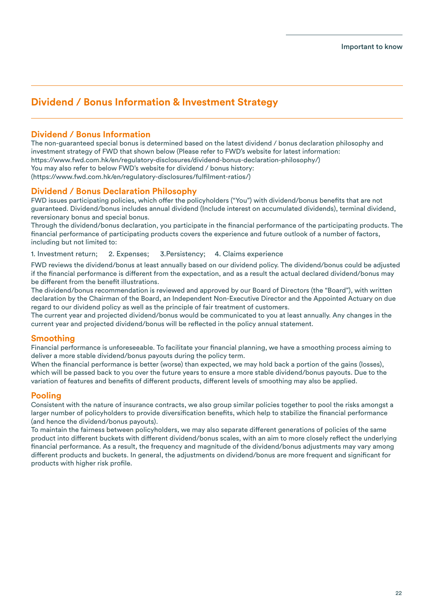### **Dividend / Bonus Information & Investment Strategy**

### **Dividend / Bonus Information**

The non-guaranteed special bonus is determined based on the latest dividend / bonus declaration philosophy and investment strategy of FWD that shown below (Please refer to FWD's website for latest information: https://www.fwd.com.hk/en/regulatory-disclosures/dividend-bonus-declaration-philosophy/) You may also refer to below FWD's website for dividend / bonus history: (https://www.fwd.com.hk/en/regulatory-disclosures/fullment-ratios/)

### **Dividend / Bonus Declaration Philosophy**

FWD issues participating policies, which offer the policyholders ("You") with dividend/bonus benefits that are not guaranteed. Dividend/bonus includes annual dividend (Include interest on accumulated dividends), terminal dividend, reversionary bonus and special bonus.

Through the dividend/bonus declaration, you participate in the financial performance of the participating products. The financial performance of participating products covers the experience and future outlook of a number of factors, including but not limited to:

1. Investment return; 2. Expenses; 3.Persistency; 4. Claims experience

FWD reviews the dividend/bonus at least annually based on our dividend policy. The dividend/bonus could be adjusted if the financial performance is different from the expectation, and as a result the actual declared dividend/bonus may be different from the benefit illustrations.

The dividend/bonus recommendation is reviewed and approved by our Board of Directors (the "Board"), with written declaration by the Chairman of the Board, an Independent Non-Executive Director and the Appointed Actuary on due regard to our dividend policy as well as the principle of fair treatment of customers.

The current year and projected dividend/bonus would be communicated to you at least annually. Any changes in the current year and projected dividend/bonus will be reflected in the policy annual statement.

### **Smoothing**

Financial performance is unforeseeable. To facilitate your financial planning, we have a smoothing process aiming to deliver a more stable dividend/bonus payouts during the policy term.

When the financial performance is better (worse) than expected, we may hold back a portion of the gains (losses), which will be passed back to you over the future years to ensure a more stable dividend/bonus payouts. Due to the variation of features and benefits of different products, different levels of smoothing may also be applied.

### **Pooling**

Consistent with the nature of insurance contracts, we also group similar policies together to pool the risks amongst a larger number of policyholders to provide diversification benefits, which help to stabilize the financial performance (and hence the dividend/bonus payouts).

To maintain the fairness between policyholders, we may also separate different generations of policies of the same product into different buckets with different dividend/bonus scales, with an aim to more closely reflect the underlying financial performance. As a result, the frequency and magnitude of the dividend/bonus adjustments may vary among different products and buckets. In general, the adjustments on dividend/bonus are more frequent and significant for products with higher risk profile.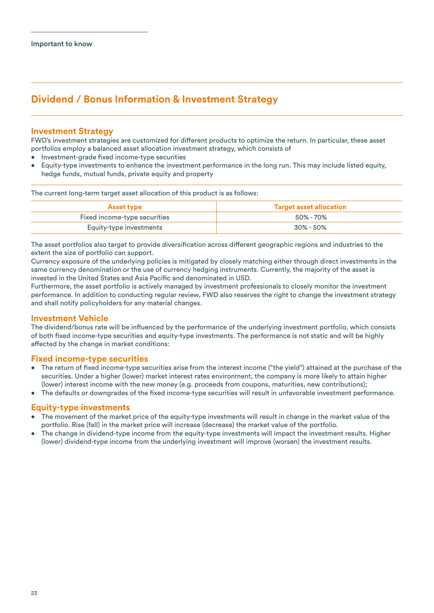### **Dividend / Bonus Information & Investment Strategy**

### **Investment Strategy**

FWD's investment strategies are customized for different products to optimize the return. In particular, these asset portfolios employ a balanced asset allocation investment strategy, which consists of

- Investment-grade fixed income-type securities
- Equity-type investments to enhance the investment performance in the long run. This may include listed equity, hedge funds, mutual funds, private equity and property

The current long-term target asset allocation of this product is as follows:

| <b>Asset type</b>            | <b>Target asset allocation</b> |  |
|------------------------------|--------------------------------|--|
| Fixed income-type securities | 50% - 70%                      |  |
| Equity-type investments      | 30% - 50%                      |  |

The asset portfolios also target to provide diversification across different geographic regions and industries to the extent the size of portfolio can support.

Currency exposure of the underlying policies is mitigated by closely matching either through direct investments in the same currency denomination or the use of currency hedging instruments. Currently, the majority of the asset is invested in the United States and Asia Pacific and denominated in USD.

Furthermore, the asset portfolio is actively managed by investment professionals to closely monitor the investment performance. In addition to conducting regular review, FWD also reserves the right to change the investment strategy and shall notify policyholders for any material changes.

### **Investment Vehicle**

The dividend/bonus rate will be influenced by the performance of the underlying investment portfolio, which consists of both xed income-type securities and equity-type investments. The performance is not static and will be highly affected by the change in market conditions:

### **Fixed income-type securities**

- The return of fixed income-type securities arise from the interest income ("the yield") attained at the purchase of the securities. Under a higher (lower) market interest rates environment, the company is more likely to attain higher (lower) interest income with the new money (e.g. proceeds from coupons, maturities, new contributions);
- The defaults or downgrades of the fixed income-type securities will result in unfavorable investment performance.

### **Equity-type investments**

- The movement of the market price of the equity-type investments will result in change in the market value of the portfolio. Rise (fall) in the market price will increase (decrease) the market value of the portfolio.
- The change in dividend-type income from the equity-type investments will impact the investment results. Higher (lower) dividend-type income from the underlying investment will improve (worsen) the investment results.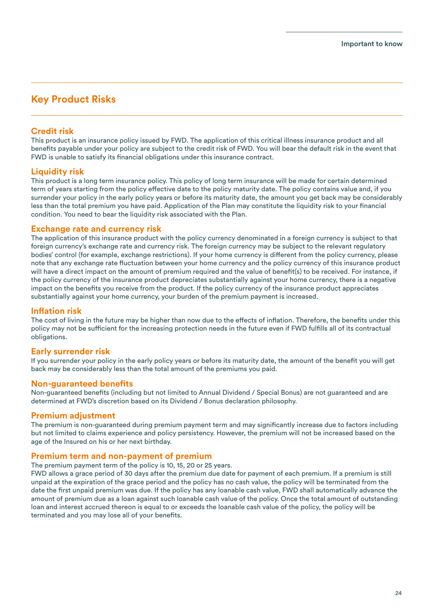### **Key Product Risks**

### **Credit risk**

This product is an insurance policy issued by FWD. The application of this critical illness insurance product and all benefits payable under your policy are subject to the credit risk of FWD. You will bear the default risk in the event that FWD is unable to satisfy its financial obligations under this insurance contract.

### **Liquidity risk**

This product is a long term insurance policy. This policy of long term insurance will be made for certain determined term of years starting from the policy effective date to the policy maturity date. The policy contains value and, if you surrender your policy in the early policy years or before its maturity date, the amount you get back may be considerably less than the total premium you have paid. Application of the Plan may constitute the liquidity risk to your financial condition. You need to bear the liquidity risk associated with the Plan.

### **Exchange rate and currency risk**

The application of this insurance product with the policy currency denominated in a foreign currency is subject to that foreign currency's exchange rate and currency risk. The foreign currency may be subject to the relevant regulatory bodies' control (for example, exchange restrictions). If your home currency is different from the policy currency, please note that any exchange rate fluctuation between your home currency and the policy currency of this insurance product will have a direct impact on the amount of premium required and the value of benefit(s) to be received. For instance, if the policy currency of the insurance product depreciates substantially against your home currency, there is a negative impact on the benefits you receive from the product. If the policy currency of the insurance product appreciates substantially against your home currency, your burden of the premium payment is increased.

### **Inflation risk**

The cost of living in the future may be higher than now due to the effects of inflation. Therefore, the benefits under this policy may not be sufficient for the increasing protection needs in the future even if FWD fulfills all of its contractual obligations.

### **Early surrender risk**

If you surrender your policy in the early policy years or before its maturity date, the amount of the benefit you will get back may be considerably less than the total amount of the premiums you paid.

### **Non-guaranteed benets**

Non-guaranteed benefits (including but not limited to Annual Dividend / Special Bonus) are not guaranteed and are determined at FWD's discretion based on its Dividend / Bonus declaration philosophy.

### **Premium adjustment**

The premium is non-guaranteed during premium payment term and may significantly increase due to factors including but not limited to claims experience and policy persistency. However, the premium will not be increased based on the age of the Insured on his or her next birthday.

### **Premium term and non-payment of premium**

The premium payment term of the policy is 10, 15, 20 or 25 years.

FWD allows a grace period of 30 days after the premium due date for payment of each premium. If a premium is still unpaid at the expiration of the grace period and the policy has no cash value, the policy will be terminated from the date the first unpaid premium was due. If the policy has any loanable cash value, FWD shall automatically advance the amount of premium due as a loan against such loanable cash value of the policy. Once the total amount of outstanding loan and interest accrued thereon is equal to or exceeds the loanable cash value of the policy, the policy will be terminated and you may lose all of your benefits.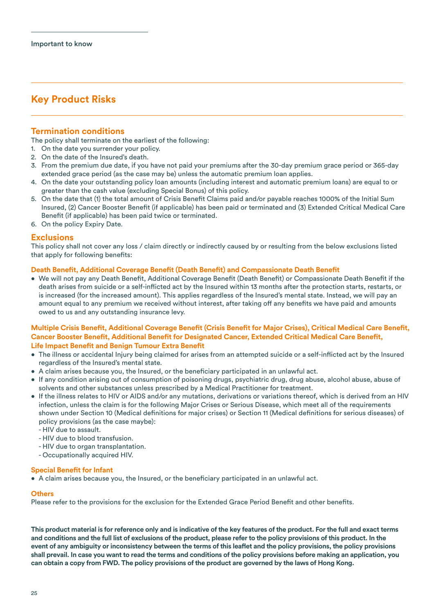### **Key Product Risks**

### **Termination conditions**

The policy shall terminate on the earliest of the following:

- 1. On the date you surrender your policy.
- 2. On the date of the Insured's death.
- 3. From the premium due date, if you have not paid your premiums after the 30-day premium grace period or 365-day extended grace period (as the case may be) unless the automatic premium loan applies.
- 4. On the date your outstanding policy loan amounts (including interest and automatic premium loans) are equal to or greater than the cash value (excluding Special Bonus) of this policy.
- 5. On the date that (1) the total amount of Crisis Benefit Claims paid and/or payable reaches 1000% of the Initial Sum Insured, (2) Cancer Booster Benefit (if applicable) has been paid or terminated and (3) Extended Critical Medical Care Benefit (if applicable) has been paid twice or terminated.
- 6. On the policy Expiry Date.

### **Exclusions**

This policy shall not cover any loss / claim directly or indirectly caused by or resulting from the below exclusions listed that apply for following benefits:

#### **Death Benefit, Additional Coverage Benefit (Death Benefit) and Compassionate Death Benefit**

• We will not pay any Death Benefit, Additional Coverage Benefit (Death Benefit) or Compassionate Death Benefit if the death arises from suicide or a self-inflicted act by the Insured within 13 months after the protection starts, restarts, or is increased (for the increased amount). This applies regardless of the Insured's mental state. Instead, we will pay an amount equal to any premium we received without interest, after taking off any benefits we have paid and amounts owed to us and any outstanding insurance levy.

#### **Multiple Crisis Benefit, Additional Coverage Benefit (Crisis Benefit for Major Crises), Critical Medical Care Benefit, Cancer Booster Benefit, Additional Benefit for Designated Cancer, Extended Critical Medical Care Benefit, Life Impact Benefit and Benign Tumour Extra Benefit**

- The illness or accidental Injury being claimed for arises from an attempted suicide or a self-inflicted act by the Insured regardless of the Insured's mental state.
- $\bullet$  A claim arises because you, the Insured, or the beneficiary participated in an unlawful act.
- If any condition arising out of consumption of poisoning drugs, psychiatric drug, drug abuse, alcohol abuse, abuse of solvents and other substances unless prescribed by a Medical Practitioner for treatment.
- If the illness relates to HIV or AIDS and/or any mutations, derivations or variations thereof, which is derived from an HIV infection, unless the claim is for the following Major Crises or Serious Disease, which meet all of the requirements shown under Section 10 (Medical definitions for major crises) or Section 11 (Medical definitions for serious diseases) of policy provisions (as the case maybe):
	- HIV due to assault.
	- HIV due to blood transfusion.
	- HIV due to organ transplantation.
	- Occupationally acquired HIV.

#### **Special Benefit for Infant**

• A claim arises because you, the Insured, or the beneficiary participated in an unlawful act.

#### **Others**

Please refer to the provisions for the exclusion for the Extended Grace Period Benefit and other benefits.

**This product material is for reference only and is indicative of the key features of the product. For the full and exact terms and conditions and the full list of exclusions of the product, please refer to the policy provisions of this product. In the**  event of any ambiguity or inconsistency between the terms of this leaflet and the policy provisions, the policy provisions **shall prevail. In case you want to read the terms and conditions of the policy provisions before making an application, you can obtain a copy from FWD. The policy provisions of the product are governed by the laws of Hong Kong.**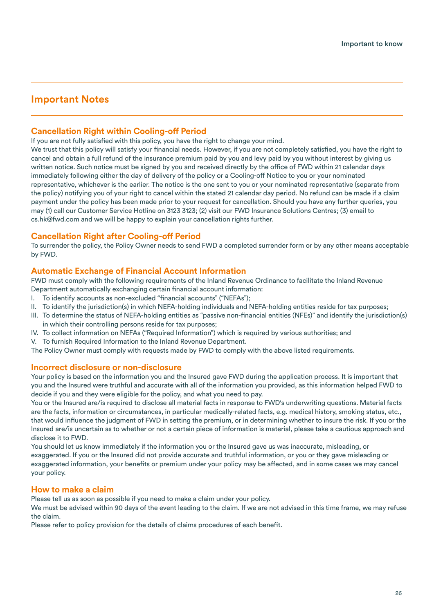### **Important Notes**

### **Cancellation Right within Cooling-off Period**

If you are not fully satisfied with this policy, you have the right to change your mind.

We trust that this policy will satisfy your financial needs. However, if you are not completely satisfied, you have the right to cancel and obtain a full refund of the insurance premium paid by you and levy paid by you without interest by giving us written notice. Such notice must be signed by you and received directly by the office of FWD within 21 calendar days immediately following either the day of delivery of the policy or a Cooling-off Notice to you or your nominated representative, whichever is the earlier. The notice is the one sent to you or your nominated representative (separate from the policy) notifying you of your right to cancel within the stated 21 calendar day period. No refund can be made if a claim payment under the policy has been made prior to your request for cancellation. Should you have any further queries, you may (1) call our Customer Service Hotline on 3123 3123; (2) visit our FWD Insurance Solutions Centres; (3) email to cs.hk@fwd.com and we will be happy to explain your cancellation rights further.

### **Cancellation Right after Cooling-off Period**

To surrender the policy, the Policy Owner needs to send FWD a completed surrender form or by any other means acceptable by FWD.

### **Automatic Exchange of Financial Account Information**

FWD must comply with the following requirements of the Inland Revenue Ordinance to facilitate the Inland Revenue Department automatically exchanging certain financial account information:

- I. To identify accounts as non-excluded "financial accounts" ("NEFAs");
- II. To identify the jurisdiction(s) in which NEFA-holding individuals and NEFA-holding entities reside for tax purposes;
- III. To determine the status of NEFA-holding entities as "passive non-financial entities (NFEs)" and identify the jurisdiction(s) in which their controlling persons reside for tax purposes;
- IV. To collect information on NEFAs ("Required Information") which is required by various authorities; and
- V. To furnish Required Information to the Inland Revenue Department.

The Policy Owner must comply with requests made by FWD to comply with the above listed requirements.

### **Incorrect disclosure or non-disclosure**

Your policy is based on the information you and the Insured gave FWD during the application process. It is important that you and the Insured were truthful and accurate with all of the information you provided, as this information helped FWD to decide if you and they were eligible for the policy, and what you need to pay.

You or the Insured are/is required to disclose all material facts in response to FWD's underwriting questions. Material facts are the facts, information or circumstances, in particular medically-related facts, e.g. medical history, smoking status, etc., that would influence the judgment of FWD in setting the premium, or in determining whether to insure the risk. If you or the Insured are/is uncertain as to whether or not a certain piece of information is material, please take a cautious approach and disclose it to FWD.

You should let us know immediately if the information you or the Insured gave us was inaccurate, misleading, or exaggerated. If you or the Insured did not provide accurate and truthful information, or you or they gave misleading or exaggerated information, your benefits or premium under your policy may be affected, and in some cases we may cancel your policy.

### **How to make a claim**

Please tell us as soon as possible if you need to make a claim under your policy.

We must be advised within 90 days of the event leading to the claim. If we are not advised in this time frame, we may refuse the claim.

Please refer to policy provision for the details of claims procedures of each benefit.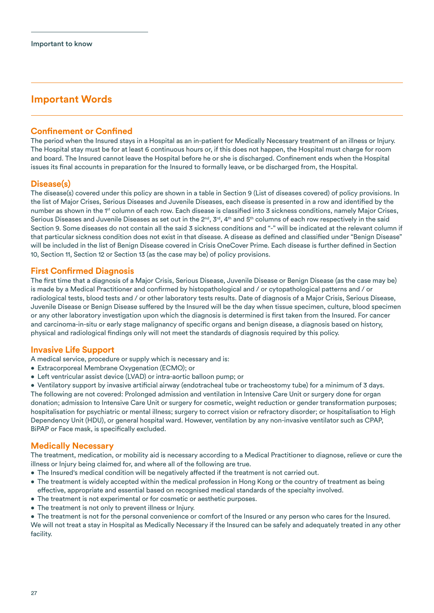### **Important Words**

### **Confinement or Confined**

The period when the Insured stays in a Hospital as an in-patient for Medically Necessary treatment of an illness or Injury. The Hospital stay must be for at least 6 continuous hours or, if this does not happen, the Hospital must charge for room and board. The Insured cannot leave the Hospital before he or she is discharged. Confinement ends when the Hospital issues its final accounts in preparation for the Insured to formally leave, or be discharged from, the Hospital.

### **Disease(s)**

The disease(s) covered under this policy are shown in a table in Section 9 (List of diseases covered) of policy provisions. In the list of Major Crises, Serious Diseases and Juvenile Diseases, each disease is presented in a row and identified by the number as shown in the 1<sup>st</sup> column of each row. Each disease is classified into 3 sickness conditions, namely Major Crises, Serious Diseases and Juvenile Diseases as set out in the  $2^{nd}$ ,  $3^{rd}$ ,  $4^{th}$  and  $5^{th}$  columns of each row respectively in the said Section 9. Some diseases do not contain all the said 3 sickness conditions and "-" will be indicated at the relevant column if that particular sickness condition does not exist in that disease. A disease as defined and classified under "Benign Disease" will be included in the list of Benign Disease covered in Crisis OneCover Prime. Each disease is further defined in Section 10, Section 11, Section 12 or Section 13 (as the case may be) of policy provisions.

#### **First Confirmed Diagnosis**

The first time that a diagnosis of a Major Crisis, Serious Disease, Juvenile Disease or Benign Disease (as the case may be) is made by a Medical Practitioner and confirmed by histopathological and / or cytopathological patterns and / or radiological tests, blood tests and / or other laboratory tests results. Date of diagnosis of a Major Crisis, Serious Disease, Juvenile Disease or Benign Disease suffered by the Insured will be the day when tissue specimen, culture, blood specimen or any other laboratory investigation upon which the diagnosis is determined is first taken from the Insured. For cancer and carcinoma-in-situ or early stage malignancy of specific organs and benign disease, a diagnosis based on history, physical and radiological ndings only will not meet the standards of diagnosis required by this policy.

### **Invasive Life Support**

A medical service, procedure or supply which is necessary and is:

- Extracorporeal Membrane Oxygenation (ECMO); or
- Left ventricular assist device (LVAD) or intra-aortic balloon pump; or

• Ventilatory support by invasive artificial airway (endotracheal tube or tracheostomy tube) for a minimum of 3 days. The following are not covered: Prolonged admission and ventilation in Intensive Care Unit or surgery done for organ donation; admission to Intensive Care Unit or surgery for cosmetic, weight reduction or gender transformation purposes; hospitalisation for psychiatric or mental illness; surgery to correct vision or refractory disorder; or hospitalisation to High Dependency Unit (HDU), or general hospital ward. However, ventilation by any non-invasive ventilator such as CPAP, BiPAP or Face mask, is specifically excluded.

### **Medically Necessary**

The treatment, medication, or mobility aid is necessary according to a Medical Practitioner to diagnose, relieve or cure the illness or Injury being claimed for, and where all of the following are true.

- The Insured's medical condition will be negatively affected if the treatment is not carried out.
- The treatment is widely accepted within the medical profession in Hong Kong or the country of treatment as being effective, appropriate and essential based on recognised medical standards of the specialty involved.
- The treatment is not experimental or for cosmetic or aesthetic purposes.
- The treatment is not only to prevent illness or Injury.

• The treatment is not for the personal convenience or comfort of the Insured or any person who cares for the Insured. We will not treat a stay in Hospital as Medically Necessary if the Insured can be safely and adequately treated in any other facility.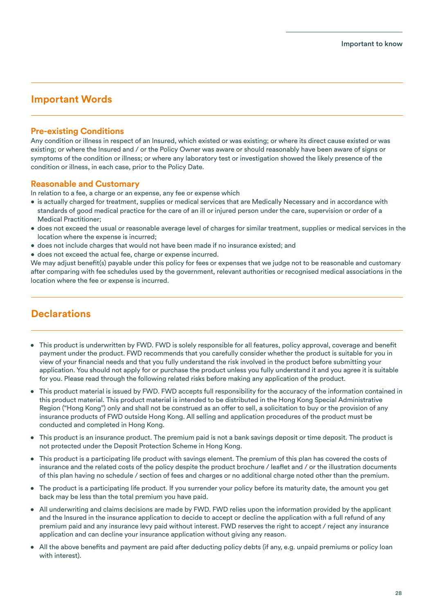### **Important Words**

### **Pre-existing Conditions**

Any condition or illness in respect of an Insured, which existed or was existing; or where its direct cause existed or was existing; or where the Insured and / or the Policy Owner was aware or should reasonably have been aware of signs or symptoms of the condition or illness; or where any laboratory test or investigation showed the likely presence of the condition or illness, in each case, prior to the Policy Date.

### **Reasonable and Customary**

In relation to a fee, a charge or an expense, any fee or expense which

- is actually charged for treatment, supplies or medical services that are Medically Necessary and in accordance with standards of good medical practice for the care of an ill or injured person under the care, supervision or order of a Medical Practitioner;
- does not exceed the usual or reasonable average level of charges for similar treatment, supplies or medical services in the location where the expense is incurred;
- does not include charges that would not have been made if no insurance existed; and
- does not exceed the actual fee, charge or expense incurred.

We may adjust benefit(s) payable under this policy for fees or expenses that we judge not to be reasonable and customary after comparing with fee schedules used by the government, relevant authorities or recognised medical associations in the location where the fee or expense is incurred.

### **Declarations**

- This product is underwritten by FWD. FWD is solely responsible for all features, policy approval, coverage and benefit payment under the product. FWD recommends that you carefully consider whether the product is suitable for you in view of your financial needs and that you fully understand the risk involved in the product before submitting your application. You should not apply for or purchase the product unless you fully understand it and you agree it is suitable for you. Please read through the following related risks before making any application of the product.
- This product material is issued by FWD. FWD accepts full responsibility for the accuracy of the information contained in this product material. This product material is intended to be distributed in the Hong Kong Special Administrative Region ("Hong Kong") only and shall not be construed as an offer to sell, a solicitation to buy or the provision of any insurance products of FWD outside Hong Kong. All selling and application procedures of the product must be conducted and completed in Hong Kong.
- This product is an insurance product. The premium paid is not a bank savings deposit or time deposit. The product is not protected under the Deposit Protection Scheme in Hong Kong.
- This product is a participating life product with savings element. The premium of this plan has covered the costs of insurance and the related costs of the policy despite the product brochure / leaflet and / or the illustration documents of this plan having no schedule / section of fees and charges or no additional charge noted other than the premium.
- The product is a participating life product. If you surrender your policy before its maturity date, the amount you get back may be less than the total premium you have paid.
- All underwriting and claims decisions are made by FWD. FWD relies upon the information provided by the applicant and the Insured in the insurance application to decide to accept or decline the application with a full refund of any premium paid and any insurance levy paid without interest. FWD reserves the right to accept / reject any insurance application and can decline your insurance application without giving any reason.
- All the above benefits and payment are paid after deducting policy debts (if any, e.g. unpaid premiums or policy loan with interest).